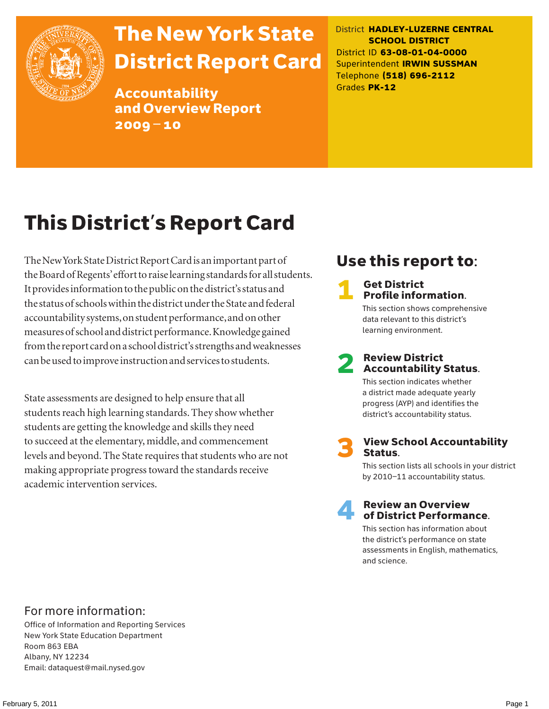

# The New York State District Report Card

Accountability and Overview Report 2009–10

District **HADLEY-LUZERNE CENTRAL SCHOOL DISTRICT** District ID **63-08-01-04-0000** Superintendent **IRWIN SUSSMAN** Telephone **(518) 696-2112** Grades **PK-12**

# This District's Report Card

The New York State District Report Card is an important part of the Board of Regents' effort to raise learning standards for all students. It provides information to the public on the district's status and the status of schools within the district under the State and federal accountability systems, on student performance, and on other measures of school and district performance. Knowledge gained from the report card on a school district's strengths and weaknesses can be used to improve instruction and services to students.

State assessments are designed to help ensure that all students reach high learning standards. They show whether students are getting the knowledge and skills they need to succeed at the elementary, middle, and commencement levels and beyond. The State requires that students who are not making appropriate progress toward the standards receive academic intervention services.

### Use this report to:

### **Get District** Profile information.

This section shows comprehensive data relevant to this district's learning environment.

# **2** Review District<br>Accountability Status.

This section indicates whether a district made adequate yearly progress (AYP) and identifies the district's accountability status.

**View School Accountability** Status.

This section lists all schools in your district by 2010–11 accountability status.



#### **Review an Overview** of District Performance.

This section has information about the district's performance on state assessments in English, mathematics, and science.

### For more information:

Office of Information and Reporting Services New York State Education Department Room 863 EBA Albany, NY 12234 Email: dataquest@mail.nysed.gov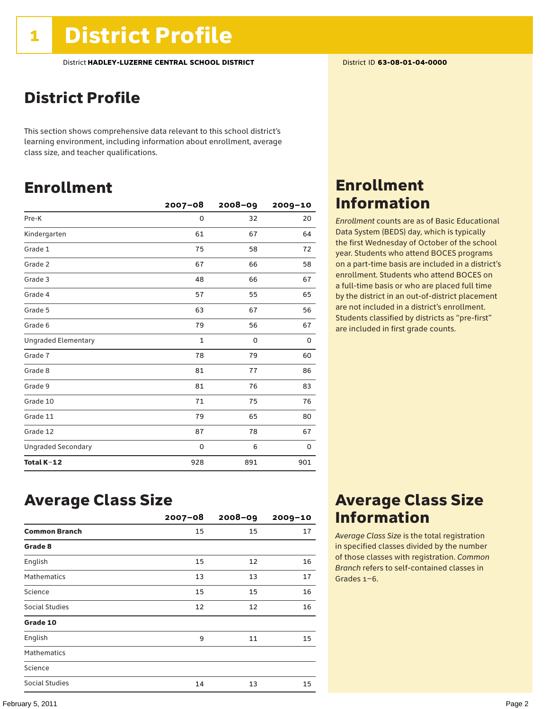### District Profile

This section shows comprehensive data relevant to this school district's learning environment, including information about enrollment, average class size, and teacher qualifications.

### Enrollment

|                            | $2007 - 08$  | $2008 - 09$ | 2009-10 |
|----------------------------|--------------|-------------|---------|
| Pre-K                      | 0            | 32          | 20      |
| Kindergarten               | 61           | 67          | 64      |
| Grade 1                    | 75           | 58          | 72      |
| Grade 2                    | 67           | 66          | 58      |
| Grade 3                    | 48           | 66          | 67      |
| Grade 4                    | 57           | 55          | 65      |
| Grade 5                    | 63           | 67          | 56      |
| Grade 6                    | 79           | 56          | 67      |
| <b>Ungraded Elementary</b> | $\mathbf{1}$ | 0           | 0       |
| Grade 7                    | 78           | 79          | 60      |
| Grade 8                    | 81           | 77          | 86      |
| Grade 9                    | 81           | 76          | 83      |
| Grade 10                   | 71           | 75          | 76      |
| Grade 11                   | 79           | 65          | 80      |
| Grade 12                   | 87           | 78          | 67      |
| <b>Ungraded Secondary</b>  | 0            | 6           | 0       |
| Total K-12                 | 928          | 891         | 901     |

### Enrollment Information

*Enrollment* counts are as of Basic Educational Data System (BEDS) day, which is typically the first Wednesday of October of the school year. Students who attend BOCES programs on a part-time basis are included in a district's enrollment. Students who attend BOCES on a full-time basis or who are placed full time by the district in an out-of-district placement are not included in a district's enrollment. Students classified by districts as "pre-first" are included in first grade counts.

### Average Class Size

|                      | $2007 - 08$ | $2008 - 09$ | $2009 - 10$ |
|----------------------|-------------|-------------|-------------|
| <b>Common Branch</b> | 15          | 15          | 17          |
| Grade 8              |             |             |             |
| English              | 15          | 12          | 16          |
| <b>Mathematics</b>   | 13          | 13          | 17          |
| Science              | 15          | 15          | 16          |
| Social Studies       | 12          | 12          | 16          |
| Grade 10             |             |             |             |
| English              | 9           | 11          | 15          |
| <b>Mathematics</b>   |             |             |             |
| Science              |             |             |             |
| Social Studies       | 14          | 13          | 15          |

### Average Class Size Information

*Average Class Size* is the total registration in specified classes divided by the number of those classes with registration. *Common Branch* refers to self-contained classes in Grades 1–6.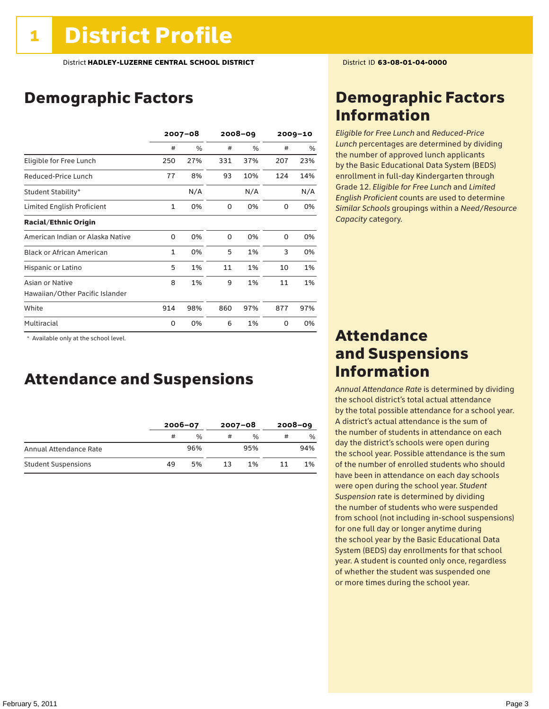### Demographic Factors

|                                  | $2007 - 08$  |     | $2008 - 09$ |     | $2009 - 10$ |     |
|----------------------------------|--------------|-----|-------------|-----|-------------|-----|
|                                  | #            | %   | #           | %   | #           | %   |
| Eligible for Free Lunch          | 250          | 27% | 331         | 37% | 207         | 23% |
| Reduced-Price Lunch              | 77           | 8%  | 93          | 10% | 124         | 14% |
| Student Stability*               |              | N/A |             | N/A |             | N/A |
| Limited English Proficient       | 1            | 0%  | 0           | 0%  | 0           | 0%  |
| <b>Racial/Ethnic Origin</b>      |              |     |             |     |             |     |
| American Indian or Alaska Native | 0            | 0%  | $\Omega$    | 0%  | $\Omega$    | 0%  |
| <b>Black or African American</b> | $\mathbf{1}$ | 0%  | 5           | 1%  | 3           | 0%  |
| Hispanic or Latino               | 5            | 1%  | 11          | 1%  | 10          | 1%  |
| Asian or Native                  | 8            | 1%  | 9           | 1%  | 11          | 1%  |
| Hawaiian/Other Pacific Islander  |              |     |             |     |             |     |
| White                            | 914          | 98% | 860         | 97% | 877         | 97% |
| Multiracial                      | 0            | 0%  | 6           | 1%  | 0           | 0%  |

 \* Available only at the school level.

### Attendance and Suspensions

|                            |    | $2006 - 07$   |    | $2007 - 08$ | $2008 - 09$ |               |
|----------------------------|----|---------------|----|-------------|-------------|---------------|
|                            | #  | $\frac{0}{0}$ | #  | $\%$        | #           | $\frac{0}{0}$ |
| Annual Attendance Rate     |    | 96%           |    | 95%         |             | 94%           |
| <b>Student Suspensions</b> | 49 | 5%            | 13 | 1%          |             | 1%            |

### Demographic Factors Information

*Eligible for Free Lunch* and *Reduced*-*Price Lunch* percentages are determined by dividing the number of approved lunch applicants by the Basic Educational Data System (BEDS) enrollment in full-day Kindergarten through Grade 12. *Eligible for Free Lunch* and *Limited English Proficient* counts are used to determine *Similar Schools* groupings within a *Need*/*Resource Capacity* category.

### Attendance and Suspensions Information

*Annual Attendance Rate* is determined by dividing the school district's total actual attendance by the total possible attendance for a school year. A district's actual attendance is the sum of the number of students in attendance on each day the district's schools were open during the school year. Possible attendance is the sum of the number of enrolled students who should have been in attendance on each day schools were open during the school year. *Student Suspension* rate is determined by dividing the number of students who were suspended from school (not including in-school suspensions) for one full day or longer anytime during the school year by the Basic Educational Data System (BEDS) day enrollments for that school year. A student is counted only once, regardless of whether the student was suspended one or more times during the school year.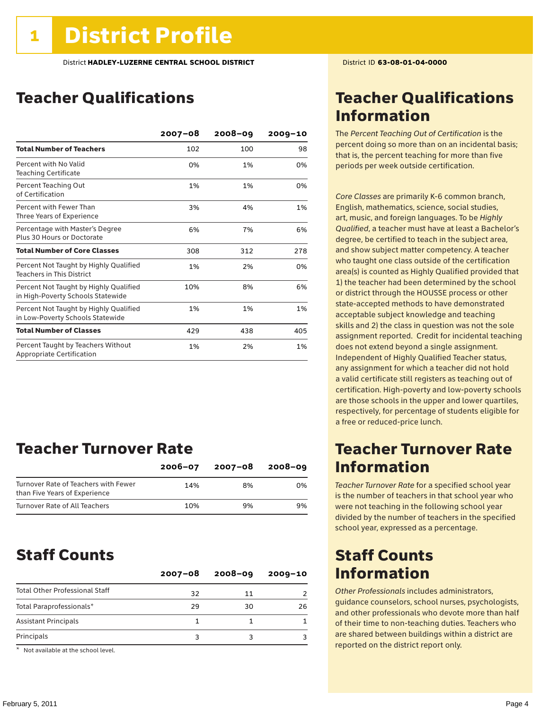### Teacher Qualifications

|                                                                             | $2007 - 08$ | $2008 - 09$ | $2009 - 10$ |
|-----------------------------------------------------------------------------|-------------|-------------|-------------|
| <b>Total Number of Teachers</b>                                             | 102         | 100         | 98          |
| Percent with No Valid<br><b>Teaching Certificate</b>                        | 0%          | 1%          | 0%          |
| Percent Teaching Out<br>of Certification                                    | 1%          | 1%          | 0%          |
| Percent with Fewer Than<br>Three Years of Experience                        | 3%          | 4%          | 1%          |
| Percentage with Master's Degree<br>Plus 30 Hours or Doctorate               | 6%          | 7%          | 6%          |
| <b>Total Number of Core Classes</b>                                         | 308         | 312         | 278         |
| Percent Not Taught by Highly Qualified<br><b>Teachers in This District</b>  | 1%          | 2%          | 0%          |
| Percent Not Taught by Highly Qualified<br>in High-Poverty Schools Statewide | 10%         | 8%          | 6%          |
| Percent Not Taught by Highly Qualified<br>in Low-Poverty Schools Statewide  | 1%          | 1%          | 1%          |
| <b>Total Number of Classes</b>                                              | 429         | 438         | 405         |
| Percent Taught by Teachers Without<br>Appropriate Certification             | 1%          | 2%          | 1%          |

### Teacher Turnover Rate

|                                                                       | $2006 - 07$ | 2007-08 | $2008 - 09$ |
|-----------------------------------------------------------------------|-------------|---------|-------------|
| Turnover Rate of Teachers with Fewer<br>than Five Years of Experience | 14%         | 8%      | በ%          |
| Turnover Rate of All Teachers                                         | 10%         | 9%      | 9%          |

### Staff Counts

|                                       | $2007 - 08$ | $2008 - 09$ | $2009 - 10$ |
|---------------------------------------|-------------|-------------|-------------|
| <b>Total Other Professional Staff</b> | 32          | 11          |             |
| Total Paraprofessionals*              | 29          | 30          | 26          |
| <b>Assistant Principals</b>           |             |             |             |
| Principals                            |             |             |             |

\* Not available at the school level.

### Teacher Qualifications Information

The *Percent Teaching Out of Certification* is the percent doing so more than on an incidental basis; that is, the percent teaching for more than five periods per week outside certification.

*Core Classes* are primarily K-6 common branch, English, mathematics, science, social studies, art, music, and foreign languages. To be *Highly Qualified*, a teacher must have at least a Bachelor's degree, be certified to teach in the subject area, and show subject matter competency. A teacher who taught one class outside of the certification area(s) is counted as Highly Qualified provided that 1) the teacher had been determined by the school or district through the HOUSSE process or other state-accepted methods to have demonstrated acceptable subject knowledge and teaching skills and 2) the class in question was not the sole assignment reported. Credit for incidental teaching does not extend beyond a single assignment. Independent of Highly Qualified Teacher status, any assignment for which a teacher did not hold a valid certificate still registers as teaching out of certification. High-poverty and low-poverty schools are those schools in the upper and lower quartiles, respectively, for percentage of students eligible for a free or reduced-price lunch.

### Teacher Turnover Rate Information

*Teacher Turnover Rate* for a specified school year is the number of teachers in that school year who were not teaching in the following school year divided by the number of teachers in the specified school year, expressed as a percentage.

### Staff Counts Information

*Other Professionals* includes administrators, guidance counselors, school nurses, psychologists, and other professionals who devote more than half of their time to non-teaching duties. Teachers who are shared between buildings within a district are reported on the district report only.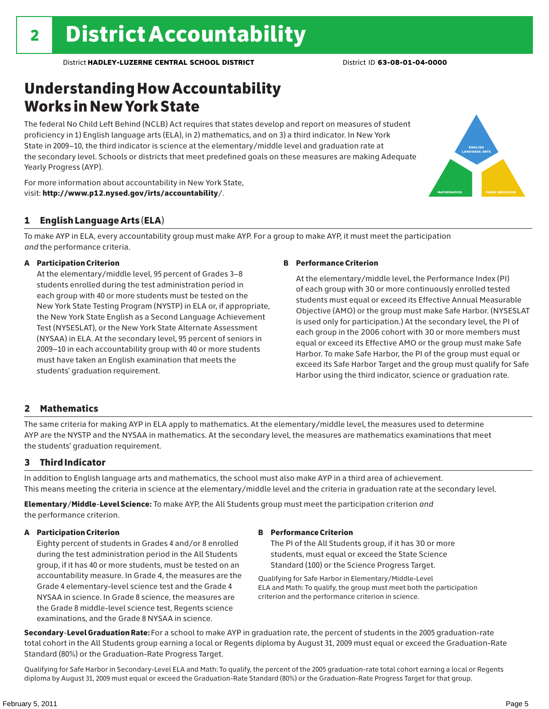### Understanding How Accountability Works in New York State

The federal No Child Left Behind (NCLB) Act requires that states develop and report on measures of student proficiency in 1) English language arts (ELA), in 2) mathematics, and on 3) a third indicator. In New York State in 2009–10, the third indicator is science at the elementary/middle level and graduation rate at the secondary level. Schools or districts that meet predefined goals on these measures are making Adequate Yearly Progress (AYP).





To make AYP in ELA, every accountability group must make AYP. For a group to make AYP, it must meet the participation *and* the performance criteria.

#### A Participation Criterion

At the elementary/middle level, 95 percent of Grades 3–8 students enrolled during the test administration period in each group with 40 or more students must be tested on the New York State Testing Program (NYSTP) in ELA or, if appropriate, the New York State English as a Second Language Achievement Test (NYSESLAT), or the New York State Alternate Assessment (NYSAA) in ELA. At the secondary level, 95 percent of seniors in 2009–10 in each accountability group with 40 or more students must have taken an English examination that meets the students' graduation requirement.

#### B Performance Criterion

At the elementary/middle level, the Performance Index (PI) of each group with 30 or more continuously enrolled tested students must equal or exceed its Effective Annual Measurable Objective (AMO) or the group must make Safe Harbor. (NYSESLAT is used only for participation.) At the secondary level, the PI of each group in the 2006 cohort with 30 or more members must equal or exceed its Effective AMO or the group must make Safe Harbor. To make Safe Harbor, the PI of the group must equal or exceed its Safe Harbor Target and the group must qualify for Safe Harbor using the third indicator, science or graduation rate.

english language arts

MATHEMATICS | THIRD INDICATOR

#### 2 Mathematics

The same criteria for making AYP in ELA apply to mathematics. At the elementary/middle level, the measures used to determine AYP are the NYSTP and the NYSAA in mathematics. At the secondary level, the measures are mathematics examinations that meet the students' graduation requirement.

#### 3 Third Indicator

In addition to English language arts and mathematics, the school must also make AYP in a third area of achievement. This means meeting the criteria in science at the elementary/middle level and the criteria in graduation rate at the secondary level.

Elementary/Middle-Level Science: To make AYP, the All Students group must meet the participation criterion *and* the performance criterion.

#### A Participation Criterion

Eighty percent of students in Grades 4 and/or 8 enrolled during the test administration period in the All Students group, if it has 40 or more students, must be tested on an accountability measure. In Grade 4, the measures are the Grade 4 elementary-level science test and the Grade 4 NYSAA in science. In Grade 8 science, the measures are the Grade 8 middle-level science test, Regents science examinations, and the Grade 8 NYSAA in science.

#### B Performance Criterion

The PI of the All Students group, if it has 30 or more students, must equal or exceed the State Science Standard (100) or the Science Progress Target.

Qualifying for Safe Harbor in Elementary/Middle-Level ELA and Math: To qualify, the group must meet both the participation criterion and the performance criterion in science.

Secondary-Level Graduation Rate: For a school to make AYP in graduation rate, the percent of students in the 2005 graduation-rate total cohort in the All Students group earning a local or Regents diploma by August 31, 2009 must equal or exceed the Graduation-Rate Standard (80%) or the Graduation-Rate Progress Target.

Qualifying for Safe Harbor in Secondary-Level ELA and Math: To qualify, the percent of the 2005 graduation-rate total cohort earning a local or Regents diploma by August 31, 2009 must equal or exceed the Graduation-Rate Standard (80%) or the Graduation-Rate Progress Target for that group.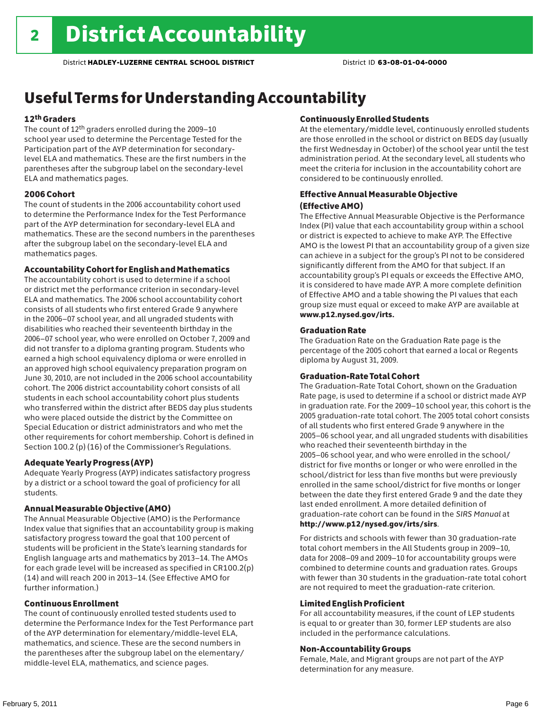### Useful Terms for Understanding Accountability

#### 12th Graders

The count of 12th graders enrolled during the 2009–10 school year used to determine the Percentage Tested for the Participation part of the AYP determination for secondarylevel ELA and mathematics. These are the first numbers in the parentheses after the subgroup label on the secondary-level ELA and mathematics pages.

#### 2006 Cohort

The count of students in the 2006 accountability cohort used to determine the Performance Index for the Test Performance part of the AYP determination for secondary-level ELA and mathematics. These are the second numbers in the parentheses after the subgroup label on the secondary-level ELA and mathematics pages.

#### Accountability Cohort for English and Mathematics

The accountability cohort is used to determine if a school or district met the performance criterion in secondary-level ELA and mathematics. The 2006 school accountability cohort consists of all students who first entered Grade 9 anywhere in the 2006–07 school year, and all ungraded students with disabilities who reached their seventeenth birthday in the 2006–07 school year, who were enrolled on October 7, 2009 and did not transfer to a diploma granting program. Students who earned a high school equivalency diploma or were enrolled in an approved high school equivalency preparation program on June 30, 2010, are not included in the 2006 school accountability cohort. The 2006 district accountability cohort consists of all students in each school accountability cohort plus students who transferred within the district after BEDS day plus students who were placed outside the district by the Committee on Special Education or district administrators and who met the other requirements for cohort membership. Cohort is defined in Section 100.2 (p) (16) of the Commissioner's Regulations.

#### Adequate Yearly Progress (AYP)

Adequate Yearly Progress (AYP) indicates satisfactory progress by a district or a school toward the goal of proficiency for all students.

#### Annual Measurable Objective (AMO)

The Annual Measurable Objective (AMO) is the Performance Index value that signifies that an accountability group is making satisfactory progress toward the goal that 100 percent of students will be proficient in the State's learning standards for English language arts and mathematics by 2013–14. The AMOs for each grade level will be increased as specified in CR100.2(p) (14) and will reach 200 in 2013–14. (See Effective AMO for further information.)

#### Continuous Enrollment

The count of continuously enrolled tested students used to determine the Performance Index for the Test Performance part of the AYP determination for elementary/middle-level ELA, mathematics, and science. These are the second numbers in the parentheses after the subgroup label on the elementary/ middle-level ELA, mathematics, and science pages.

#### Continuously Enrolled Students

At the elementary/middle level, continuously enrolled students are those enrolled in the school or district on BEDS day (usually the first Wednesday in October) of the school year until the test administration period. At the secondary level, all students who meet the criteria for inclusion in the accountability cohort are considered to be continuously enrolled.

#### Effective Annual Measurable Objective (Effective AMO)

The Effective Annual Measurable Objective is the Performance Index (PI) value that each accountability group within a school or district is expected to achieve to make AYP. The Effective AMO is the lowest PI that an accountability group of a given size can achieve in a subject for the group's PI not to be considered significantly different from the AMO for that subject. If an accountability group's PI equals or exceeds the Effective AMO, it is considered to have made AYP. A more complete definition of Effective AMO and a table showing the PI values that each group size must equal or exceed to make AYP are available at www.p12.nysed.gov/irts.

#### Graduation Rate

The Graduation Rate on the Graduation Rate page is the percentage of the 2005 cohort that earned a local or Regents diploma by August 31, 2009.

#### Graduation-Rate Total Cohort

The Graduation-Rate Total Cohort, shown on the Graduation Rate page, is used to determine if a school or district made AYP in graduation rate. For the 2009–10 school year, this cohort is the 2005 graduation-rate total cohort. The 2005 total cohort consists of all students who first entered Grade 9 anywhere in the 2005–06 school year, and all ungraded students with disabilities who reached their seventeenth birthday in the 2005–06 school year, and who were enrolled in the school/ district for five months or longer or who were enrolled in the school/district for less than five months but were previously enrolled in the same school/district for five months or longer between the date they first entered Grade 9 and the date they last ended enrollment. A more detailed definition of graduation-rate cohort can be found in the *SIRS Manual* at http://www.p12/nysed.gov/irts/sirs.

For districts and schools with fewer than 30 graduation-rate total cohort members in the All Students group in 2009–10, data for 2008–09 and 2009–10 for accountability groups were combined to determine counts and graduation rates. Groups with fewer than 30 students in the graduation-rate total cohort are not required to meet the graduation-rate criterion.

#### Limited English Proficient

For all accountability measures, if the count of LEP students is equal to or greater than 30, former LEP students are also included in the performance calculations.

#### Non-Accountability Groups

Female, Male, and Migrant groups are not part of the AYP determination for any measure.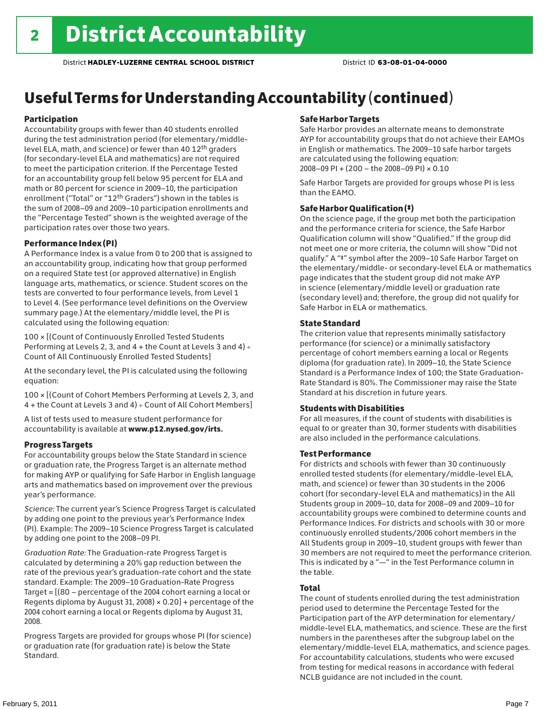## Useful Terms for Understanding Accountability (continued)

#### Participation

Accountability groups with fewer than 40 students enrolled during the test administration period (for elementary/middlelevel ELA, math, and science) or fewer than 40 12th graders (for secondary-level ELA and mathematics) are not required to meet the participation criterion. If the Percentage Tested for an accountability group fell below 95 percent for ELA and math or 80 percent for science in 2009–10, the participation enrollment ("Total" or "12th Graders") shown in the tables is the sum of 2008–09 and 2009–10 participation enrollments and the "Percentage Tested" shown is the weighted average of the participation rates over those two years.

#### Performance Index (PI)

A Performance Index is a value from 0 to 200 that is assigned to an accountability group, indicating how that group performed on a required State test (or approved alternative) in English language arts, mathematics, or science. Student scores on the tests are converted to four performance levels, from Level 1 to Level 4. (See performance level definitions on the Overview summary page.) At the elementary/middle level, the PI is calculated using the following equation:

100 × [(Count of Continuously Enrolled Tested Students Performing at Levels 2, 3, and 4 + the Count at Levels 3 and 4) Count of All Continuously Enrolled Tested Students]

At the secondary level, the PI is calculated using the following equation:

100 × [(Count of Cohort Members Performing at Levels 2, 3, and 4 + the Count at Levels 3 and 4) Count of All Cohort Members]

A list of tests used to measure student performance for accountability is available at www.p12.nysed.gov/irts.

#### Progress Targets

For accountability groups below the State Standard in science or graduation rate, the Progress Target is an alternate method for making AYP or qualifying for Safe Harbor in English language arts and mathematics based on improvement over the previous year's performance.

*Science:* The current year's Science Progress Target is calculated by adding one point to the previous year's Performance Index (PI). Example: The 2009–10 Science Progress Target is calculated by adding one point to the 2008–09 PI.

*Graduation Rate:* The Graduation-rate Progress Target is calculated by determining a 20% gap reduction between the rate of the previous year's graduation-rate cohort and the state standard. Example: The 2009–10 Graduation-Rate Progress Target = [(80 – percentage of the 2004 cohort earning a local or Regents diploma by August 31, 2008)  $\times$  0.20] + percentage of the 2004 cohort earning a local or Regents diploma by August 31, 2008.

Progress Targets are provided for groups whose PI (for science) or graduation rate (for graduation rate) is below the State Standard.

#### Safe Harbor Targets

Safe Harbor provides an alternate means to demonstrate AYP for accountability groups that do not achieve their EAMOs in English or mathematics. The 2009–10 safe harbor targets are calculated using the following equation: 2008–09 PI + (200 – the 2008–09 PI) × 0.10

Safe Harbor Targets are provided for groups whose PI is less than the EAMO.

#### Safe Harbor Qualification (‡)

On the science page, if the group met both the participation and the performance criteria for science, the Safe Harbor Qualification column will show "Qualified." If the group did not meet one or more criteria, the column will show "Did not qualify." A "‡" symbol after the 2009–10 Safe Harbor Target on the elementary/middle- or secondary-level ELA or mathematics page indicates that the student group did not make AYP in science (elementary/middle level) or graduation rate (secondary level) and; therefore, the group did not qualify for Safe Harbor in ELA or mathematics.

#### State Standard

The criterion value that represents minimally satisfactory performance (for science) or a minimally satisfactory percentage of cohort members earning a local or Regents diploma (for graduation rate). In 2009–10, the State Science Standard is a Performance Index of 100; the State Graduation-Rate Standard is 80%. The Commissioner may raise the State Standard at his discretion in future years.

#### Students with Disabilities

For all measures, if the count of students with disabilities is equal to or greater than 30, former students with disabilities are also included in the performance calculations.

#### Test Performance

For districts and schools with fewer than 30 continuously enrolled tested students (for elementary/middle-level ELA, math, and science) or fewer than 30 students in the 2006 cohort (for secondary-level ELA and mathematics) in the All Students group in 2009–10, data for 2008–09 and 2009–10 for accountability groups were combined to determine counts and Performance Indices. For districts and schools with 30 or more continuously enrolled students/2006 cohort members in the All Students group in 2009–10, student groups with fewer than 30 members are not required to meet the performance criterion. This is indicated by a "—" in the Test Performance column in the table.

#### Total

The count of students enrolled during the test administration period used to determine the Percentage Tested for the Participation part of the AYP determination for elementary/ middle-level ELA, mathematics, and science. These are the first numbers in the parentheses after the subgroup label on the elementary/middle-level ELA, mathematics, and science pages. For accountability calculations, students who were excused from testing for medical reasons in accordance with federal NCLB guidance are not included in the count.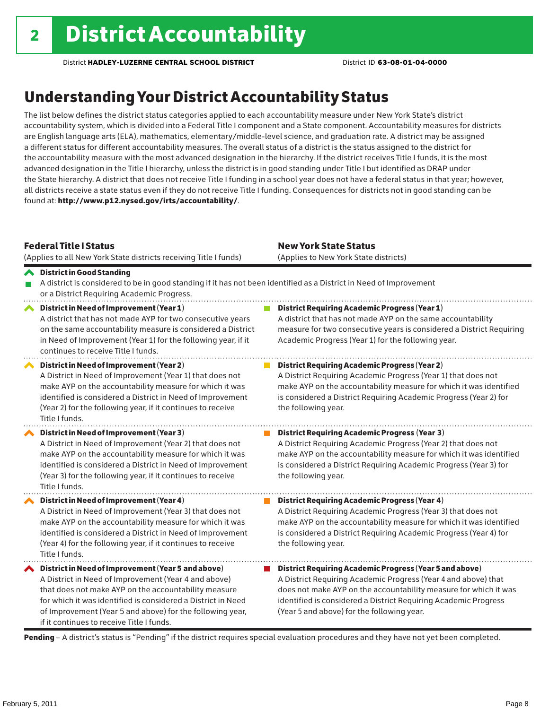### Understanding Your District Accountability Status

The list below defines the district status categories applied to each accountability measure under New York State's district accountability system, which is divided into a Federal Title I component and a State component. Accountability measures for districts are English language arts (ELA), mathematics, elementary/middle-level science, and graduation rate. A district may be assigned a different status for different accountability measures. The overall status of a district is the status assigned to the district for the accountability measure with the most advanced designation in the hierarchy. If the district receives Title I funds, it is the most advanced designation in the Title I hierarchy, unless the district is in good standing under Title I but identified as DRAP under the State hierarchy. A district that does not receive Title I funding in a school year does not have a federal status in that year; however, all districts receive a state status even if they do not receive Title I funding. Consequences for districts not in good standing can be found at: http://www.p12.nysed.gov/irts/accountability/.

| <b>Federal Title   Status</b><br>(Applies to all New York State districts receiving Title I funds)                                                                                                                                                                                                                                             | <b>New York State Status</b><br>(Applies to New York State districts)                                                                                                                                                                                                                                          |
|------------------------------------------------------------------------------------------------------------------------------------------------------------------------------------------------------------------------------------------------------------------------------------------------------------------------------------------------|----------------------------------------------------------------------------------------------------------------------------------------------------------------------------------------------------------------------------------------------------------------------------------------------------------------|
| <b>◆</b> District in Good Standing<br>A district is considered to be in good standing if it has not been identified as a District in Need of Improvement<br>or a District Requiring Academic Progress.                                                                                                                                         |                                                                                                                                                                                                                                                                                                                |
| District in Need of Improvement (Year 1)<br>∧<br>A district that has not made AYP for two consecutive years<br>on the same accountability measure is considered a District<br>in Need of Improvement (Year 1) for the following year, if it<br>continues to receive Title I funds.                                                             | <b>District Requiring Academic Progress (Year 1)</b><br>A district that has not made AYP on the same accountability<br>measure for two consecutive years is considered a District Requiring<br>Academic Progress (Year 1) for the following year.                                                              |
| District in Need of Improvement (Year 2)<br>A District in Need of Improvement (Year 1) that does not<br>make AYP on the accountability measure for which it was<br>identified is considered a District in Need of Improvement<br>(Year 2) for the following year, if it continues to receive<br>Title I funds.                                 | <b>District Requiring Academic Progress (Year 2)</b><br>A District Requiring Academic Progress (Year 1) that does not<br>make AYP on the accountability measure for which it was identified<br>is considered a District Requiring Academic Progress (Year 2) for<br>the following year.                        |
| District in Need of Improvement (Year 3)<br>A District in Need of Improvement (Year 2) that does not<br>make AYP on the accountability measure for which it was<br>identified is considered a District in Need of Improvement<br>(Year 3) for the following year, if it continues to receive<br>Title I funds.                                 | <b>District Requiring Academic Progress (Year 3)</b><br>A District Requiring Academic Progress (Year 2) that does not<br>make AYP on the accountability measure for which it was identified<br>is considered a District Requiring Academic Progress (Year 3) for<br>the following year.                        |
| District in Need of Improvement (Year 4)<br>A District in Need of Improvement (Year 3) that does not<br>make AYP on the accountability measure for which it was<br>identified is considered a District in Need of Improvement<br>(Year 4) for the following year, if it continues to receive<br>Title I funds.                                 | <b>District Requiring Academic Progress (Year 4)</b><br>A District Requiring Academic Progress (Year 3) that does not<br>make AYP on the accountability measure for which it was identified<br>is considered a District Requiring Academic Progress (Year 4) for<br>the following year.                        |
| ◆ District in Need of Improvement (Year 5 and above)<br>A District in Need of Improvement (Year 4 and above)<br>that does not make AYP on the accountability measure<br>for which it was identified is considered a District in Need<br>of Improvement (Year 5 and above) for the following year,<br>if it continues to receive Title I funds. | District Requiring Academic Progress (Year 5 and above)<br>A District Requiring Academic Progress (Year 4 and above) that<br>does not make AYP on the accountability measure for which it was<br>identified is considered a District Requiring Academic Progress<br>(Year 5 and above) for the following year. |

Pending - A district's status is "Pending" if the district requires special evaluation procedures and they have not yet been completed.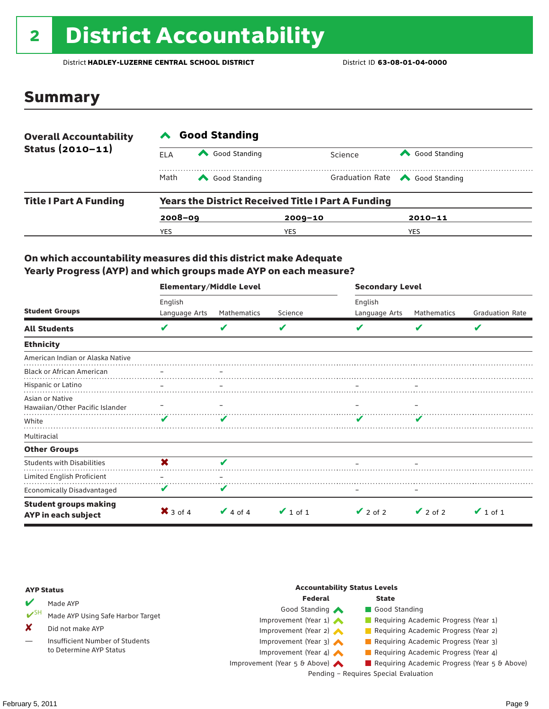# 2 District Accountability

District **HADLEY-LUZERNE CENTRAL SCHOOL DISTRICT** District ID **63-08-01-04-0000**

### Summary

| <b>Overall Accountability</b><br>Status $(2010 - 11)$ | <b>Good Standing</b>                                      |               |             |         |                                       |  |  |
|-------------------------------------------------------|-----------------------------------------------------------|---------------|-------------|---------|---------------------------------------|--|--|
|                                                       | ELA                                                       | Good Standing |             | Science | Good Standing                         |  |  |
|                                                       | Math                                                      | Good Standing |             |         | Graduation Rate <a> Good Standing</a> |  |  |
| <b>Title I Part A Funding</b>                         | <b>Years the District Received Title I Part A Funding</b> |               |             |         |                                       |  |  |
|                                                       | $2008 - 09$                                               |               | $2009 - 10$ |         | $2010 - 11$                           |  |  |
|                                                       | YES                                                       |               | YES         |         | <b>YES</b>                            |  |  |

#### On which accountability measures did this district make Adequate Yearly Progress (AYP) and which groups made AYP on each measure?

|                                                     | <b>Elementary/Middle Level</b> |               |               | <b>Secondary Level</b> |               |                        |  |
|-----------------------------------------------------|--------------------------------|---------------|---------------|------------------------|---------------|------------------------|--|
|                                                     | English                        |               |               | English                |               |                        |  |
| <b>Student Groups</b>                               | Language Arts                  | Mathematics   | Science       | Language Arts          | Mathematics   | <b>Graduation Rate</b> |  |
| <b>All Students</b>                                 | V                              | v             | V             |                        | v             | V                      |  |
| <b>Ethnicity</b>                                    |                                |               |               |                        |               |                        |  |
| American Indian or Alaska Native                    |                                |               |               |                        |               |                        |  |
| <b>Black or African American</b>                    |                                |               |               |                        |               |                        |  |
| Hispanic or Latino                                  |                                |               |               |                        |               |                        |  |
| Asian or Native<br>Hawaiian/Other Pacific Islander  |                                |               |               |                        |               |                        |  |
| White                                               | v                              |               |               |                        |               |                        |  |
| Multiracial                                         |                                |               |               |                        |               |                        |  |
| <b>Other Groups</b>                                 |                                |               |               |                        |               |                        |  |
| <b>Students with Disabilities</b>                   | X                              | v             |               |                        |               |                        |  |
| Limited English Proficient                          |                                |               |               |                        |               |                        |  |
| <b>Economically Disadvantaged</b>                   | V                              | V             |               |                        |               |                        |  |
| <b>Student groups making</b><br>AYP in each subject | $\mathsf{X}$ 3 of 4            | $\vee$ 4 of 4 | $\vee$ 1 of 1 | $\vee$ 2 of 2          | $\vee$ 2 of 2 | $\vee$ 1 of 1          |  |

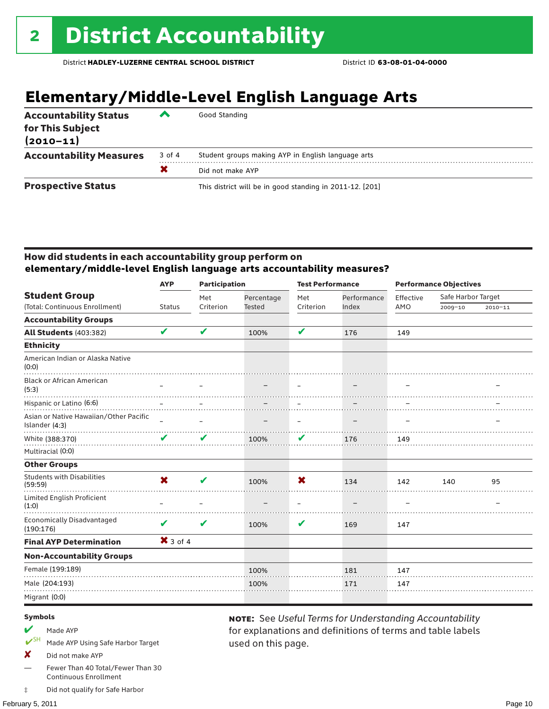### **Elementary/Middle-Level English Language Arts**

| <b>Accountability Status</b><br>for This Subject<br>$(2010 - 11)$ | $\overline{\phantom{a}}$ | Good Standing                                            |
|-------------------------------------------------------------------|--------------------------|----------------------------------------------------------|
| <b>Accountability Measures</b>                                    | 3 of 4                   | Student groups making AYP in English language arts       |
|                                                                   | X                        | Did not make AYP                                         |
| <b>Prospective Status</b>                                         |                          | This district will be in good standing in 2011-12. [201] |

#### How did students in each accountability group perform on **elementary/middle-level English language arts accountability measures?**

|                                                          | <b>Participation</b><br><b>AYP</b> |           |               | <b>Test Performance</b> |             | <b>Performance Objectives</b> |                    |         |
|----------------------------------------------------------|------------------------------------|-----------|---------------|-------------------------|-------------|-------------------------------|--------------------|---------|
| <b>Student Group</b>                                     |                                    | Met       | Percentage    | Met                     | Performance | Effective                     | Safe Harbor Target |         |
| (Total: Continuous Enrollment)                           | <b>Status</b>                      | Criterion | <b>Tested</b> | Criterion               | Index       | AMO                           | 2009-10            | 2010-11 |
| <b>Accountability Groups</b>                             |                                    |           |               |                         |             |                               |                    |         |
| <b>All Students (403:382)</b>                            | V                                  | V         | 100%          | V                       | 176         | 149                           |                    |         |
| <b>Ethnicity</b>                                         |                                    |           |               |                         |             |                               |                    |         |
| American Indian or Alaska Native<br>(0:0)                |                                    |           |               |                         |             |                               |                    |         |
| <b>Black or African American</b><br>(5:3)                |                                    |           |               |                         |             |                               |                    |         |
| Hispanic or Latino (6:6)                                 |                                    |           |               |                         |             |                               |                    |         |
| Asian or Native Hawaiian/Other Pacific<br>Islander (4:3) |                                    |           |               | $\qquad \qquad -$       |             |                               |                    |         |
| White (388:370)                                          | V                                  | V         | 100%          | V                       | 176         | 149                           |                    |         |
| Multiracial (0:0)                                        |                                    |           |               |                         |             |                               |                    |         |
| <b>Other Groups</b>                                      |                                    |           |               |                         |             |                               |                    |         |
| <b>Students with Disabilities</b><br>(59:59)             | X                                  | ✔         | 100%          | X                       | 134         | 142                           | 140                | 95      |
| Limited English Proficient<br>(1:0)                      |                                    |           |               |                         |             |                               |                    |         |
| <b>Economically Disadvantaged</b><br>(190:176)           | ✔                                  | V         | 100%          | V                       | 169         | 147                           |                    |         |
| <b>Final AYP Determination</b>                           | $X$ 3 of 4                         |           |               |                         |             |                               |                    |         |
| <b>Non-Accountability Groups</b>                         |                                    |           |               |                         |             |                               |                    |         |
| Female (199:189)                                         |                                    |           | 100%          |                         | 181         | 147                           |                    |         |
| Male (204:193)                                           |                                    |           | 100%          |                         | 171         | 147                           |                    |         |
| Migrant (0:0)                                            |                                    |           |               |                         |             |                               |                    |         |
|                                                          |                                    |           |               |                         |             |                               |                    |         |

used on this page.

note: See *Useful Terms for Understanding Accountability*  for explanations and definitions of terms and table labels

#### Symbols

- Made AYP
- Made AYP Using Safe Harbor Target
- X Did not make AYP
- Fewer Than 40 Total/Fewer Than 30 Continuous Enrollment
- ‡ Did not qualify for Safe Harbor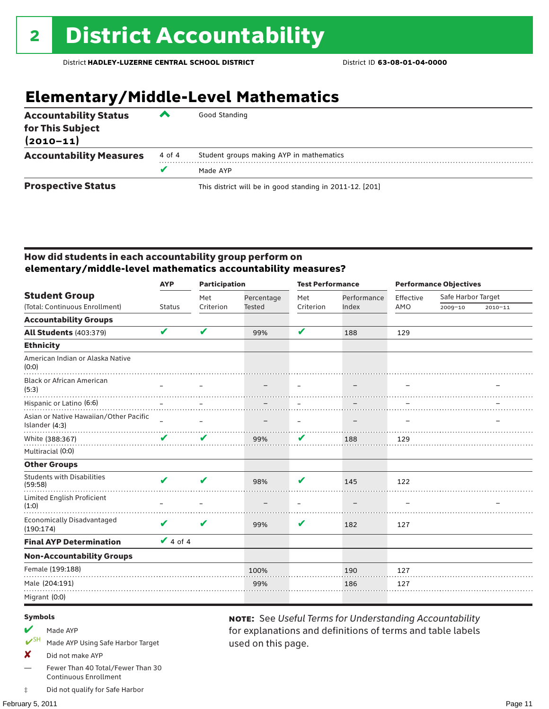## **Elementary/Middle-Level Mathematics**

| <b>Accountability Status</b><br>for This Subject<br>$(2010 - 11)$ | ▰      | Good Standing                                            |
|-------------------------------------------------------------------|--------|----------------------------------------------------------|
| <b>Accountability Measures</b>                                    | 4 of 4 | Student groups making AYP in mathematics                 |
|                                                                   |        | Made AYP                                                 |
| <b>Prospective Status</b>                                         |        | This district will be in good standing in 2011-12. [201] |

#### How did students in each accountability group perform on **elementary/middle-level mathematics accountability measures?**

|                                                          | <b>AYP</b>    | <b>Participation</b> |               | <b>Test Performance</b> |             | <b>Performance Objectives</b> |                    |         |
|----------------------------------------------------------|---------------|----------------------|---------------|-------------------------|-------------|-------------------------------|--------------------|---------|
| <b>Student Group</b>                                     |               | Met                  | Percentage    | Met                     | Performance | Effective                     | Safe Harbor Target |         |
| (Total: Continuous Enrollment)                           | <b>Status</b> | Criterion            | <b>Tested</b> | Criterion               | Index       | AMO                           | 2009-10            | 2010-11 |
| <b>Accountability Groups</b>                             |               |                      |               |                         |             |                               |                    |         |
| <b>All Students (403:379)</b>                            | V             | V                    | 99%           | V                       | 188         | 129                           |                    |         |
| <b>Ethnicity</b>                                         |               |                      |               |                         |             |                               |                    |         |
| American Indian or Alaska Native<br>(0:0)                |               |                      |               |                         |             |                               |                    |         |
| <b>Black or African American</b><br>(5:3)                |               |                      |               |                         |             |                               |                    |         |
| Hispanic or Latino (6:6)                                 |               |                      |               |                         |             |                               |                    |         |
| Asian or Native Hawaiian/Other Pacific<br>Islander (4:3) |               |                      |               | $\qquad \qquad -$       |             |                               |                    |         |
| White (388:367)                                          | V             | V                    | 99%           | V                       | 188         | 129                           |                    |         |
| Multiracial (0:0)                                        |               |                      |               |                         |             |                               |                    |         |
| <b>Other Groups</b>                                      |               |                      |               |                         |             |                               |                    |         |
| <b>Students with Disabilities</b><br>(59:58)             | ✔             | V                    | 98%           | V                       | 145         | 122                           |                    |         |
| Limited English Proficient<br>(1:0)                      |               |                      |               |                         |             |                               |                    |         |
| <b>Economically Disadvantaged</b><br>(190:174)           | V             | V                    | 99%           | V                       | 182         | 127                           |                    |         |
| <b>Final AYP Determination</b>                           | $\vee$ 4 of 4 |                      |               |                         |             |                               |                    |         |
| <b>Non-Accountability Groups</b>                         |               |                      |               |                         |             |                               |                    |         |
| Female (199:188)                                         |               |                      | 100%          |                         | 190         | 127                           |                    |         |
| Male (204:191)                                           |               |                      | 99%           |                         | 186         | 127                           |                    |         |
| Migrant (0:0)                                            |               |                      |               |                         |             |                               |                    |         |
|                                                          |               |                      |               |                         |             |                               |                    |         |

used on this page.

note: See *Useful Terms for Understanding Accountability*  for explanations and definitions of terms and table labels

#### Symbols

- Made AYP
- SH Made AYP Using Safe Harbor Target
- X Did not make AYP
- Fewer Than 40 Total/Fewer Than 30 Continuous Enrollment
- ‡ Did not qualify for Safe Harbor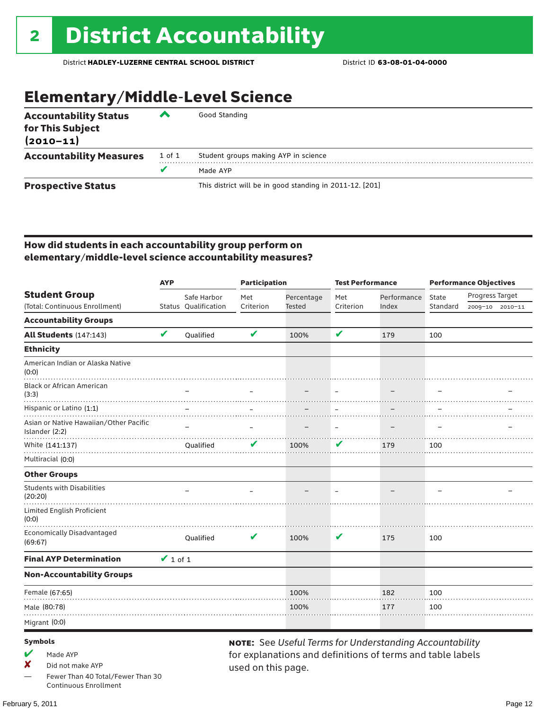### Elementary/Middle-Level Science

| <b>Accountability Status</b><br>for This Subject<br>$(2010 - 11)$ | ▰      | Good Standing                                            |
|-------------------------------------------------------------------|--------|----------------------------------------------------------|
| <b>Accountability Measures</b>                                    | 1 of 1 | Student groups making AYP in science                     |
|                                                                   | v      | Made AYP                                                 |
| <b>Prospective Status</b>                                         |        | This district will be in good standing in 2011-12. [201] |

#### How did students in each accountability group perform on elementary/middle-level science accountability measures?

|                                                          | <b>AYP</b>    |                      | <b>Participation</b> |               | <b>Test Performance</b> |                                                         | <b>Performance Objectives</b> |                 |  |
|----------------------------------------------------------|---------------|----------------------|----------------------|---------------|-------------------------|---------------------------------------------------------|-------------------------------|-----------------|--|
| <b>Student Group</b>                                     |               | Safe Harbor          | Met                  | Percentage    | Met                     | Performance                                             | State                         | Progress Target |  |
| (Total: Continuous Enrollment)                           |               | Status Qualification | Criterion            | <b>Tested</b> | Criterion               | Index                                                   | Standard                      | 2009-10 2010-11 |  |
| <b>Accountability Groups</b>                             |               |                      |                      |               |                         |                                                         |                               |                 |  |
| All Students (147:143)                                   | V             | Qualified            | V                    | 100%          | V                       | 179                                                     | 100                           |                 |  |
| <b>Ethnicity</b>                                         |               |                      |                      |               |                         |                                                         |                               |                 |  |
| American Indian or Alaska Native<br>(0:0)                |               |                      |                      |               |                         |                                                         |                               |                 |  |
| <b>Black or African American</b><br>(3:3)                |               |                      |                      |               |                         |                                                         |                               |                 |  |
| Hispanic or Latino (1:1)                                 |               |                      |                      |               |                         |                                                         |                               |                 |  |
| Asian or Native Hawaiian/Other Pacific<br>Islander (2:2) |               |                      |                      |               | $\equiv$                |                                                         |                               |                 |  |
| White (141:137)                                          |               | Qualified            |                      | 100%          | V                       | 179                                                     | 100                           |                 |  |
| Multiracial (0:0)                                        |               |                      |                      |               |                         |                                                         |                               |                 |  |
| <b>Other Groups</b>                                      |               |                      |                      |               |                         |                                                         |                               |                 |  |
| <b>Students with Disabilities</b><br>(20:20)             |               |                      |                      |               |                         |                                                         |                               |                 |  |
| Limited English Proficient<br>(0:0)                      |               |                      |                      |               |                         |                                                         |                               |                 |  |
| <b>Economically Disadvantaged</b><br>(69:67)             |               | Qualified            | V                    | 100%          | V                       | 175                                                     | 100                           |                 |  |
| <b>Final AYP Determination</b>                           | $\vee$ 1 of 1 |                      |                      |               |                         |                                                         |                               |                 |  |
| <b>Non-Accountability Groups</b>                         |               |                      |                      |               |                         |                                                         |                               |                 |  |
| Female (67:65)                                           |               |                      |                      | 100%          |                         | 182                                                     | 100                           |                 |  |
| Male (80:78)                                             |               |                      |                      | 100%          |                         | 177                                                     | 100                           |                 |  |
| Migrant (0:0)                                            |               |                      |                      |               |                         |                                                         |                               |                 |  |
| <b>Symbols</b>                                           |               |                      |                      |               |                         | NOTE: See Useful Terms for Understanding Accountability |                               |                 |  |

#### $M$  Made AYP

✘ Did not make AYP

Fewer Than 40 Total/Fewer Than 30 Continuous Enrollment

for explanations and definitions of terms and table labels used on this page.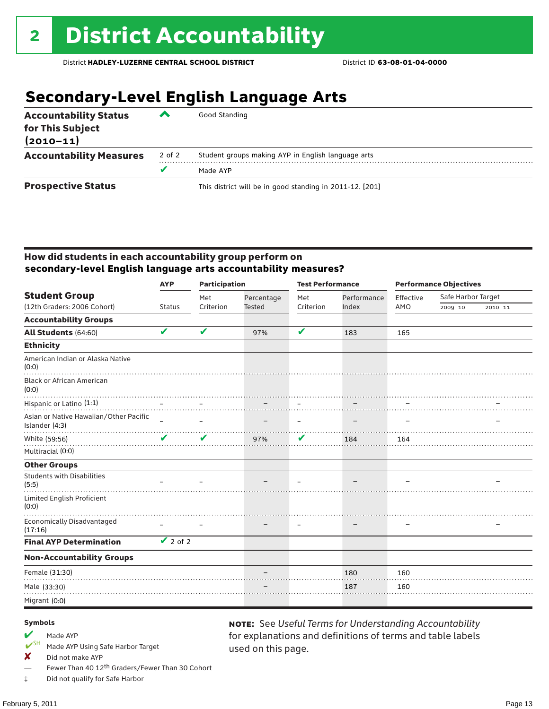### **Secondary-Level English Language Arts**

| <b>Accountability Status</b><br>for This Subject<br>$(2010 - 11)$ | ▰      | Good Standing                                            |
|-------------------------------------------------------------------|--------|----------------------------------------------------------|
| <b>Accountability Measures</b>                                    | 2 of 2 | Student groups making AYP in English language arts       |
|                                                                   |        | Made AYP                                                 |
| <b>Prospective Status</b>                                         |        | This district will be in good standing in 2011-12. [201] |

#### How did students in each accountability group perform on **secondary-level English language arts accountability measures?**

|                                                          | <b>AYP</b>      | <b>Participation</b>       |               | <b>Test Performance</b>  |             | <b>Performance Objectives</b> |                    |             |
|----------------------------------------------------------|-----------------|----------------------------|---------------|--------------------------|-------------|-------------------------------|--------------------|-------------|
| <b>Student Group</b>                                     |                 | Met                        | Percentage    | Met                      | Performance | Effective                     | Safe Harbor Target |             |
| (12th Graders: 2006 Cohort)                              | <b>Status</b>   | Criterion                  | <b>Tested</b> | Criterion                | Index       | AMO                           | 2009-10            | $2010 - 11$ |
| <b>Accountability Groups</b>                             |                 |                            |               |                          |             |                               |                    |             |
| All Students (64:60)                                     | V               | V                          | 97%           | V                        | 183         | 165                           |                    |             |
| <b>Ethnicity</b>                                         |                 |                            |               |                          |             |                               |                    |             |
| American Indian or Alaska Native<br>(0:0)                |                 |                            |               |                          |             |                               |                    |             |
| <b>Black or African American</b><br>(0:0)                |                 |                            |               |                          |             |                               |                    |             |
| Hispanic or Latino (1:1)                                 |                 |                            |               |                          |             |                               |                    |             |
| Asian or Native Hawaiian/Other Pacific<br>Islander (4:3) |                 | $\overline{\phantom{0}}$   |               | $\overline{\phantom{m}}$ |             |                               |                    |             |
| White (59:56)                                            | $\mathbf{v}$    | $\boldsymbol{\mathcal{U}}$ | 97%           | V                        | 184         | 164                           |                    |             |
| Multiracial (0:0)                                        |                 |                            |               |                          |             |                               |                    |             |
| <b>Other Groups</b>                                      |                 |                            |               |                          |             |                               |                    |             |
| <b>Students with Disabilities</b><br>(5:5)               |                 |                            |               |                          |             |                               |                    |             |
| Limited English Proficient<br>(0:0)                      |                 |                            |               |                          |             |                               |                    |             |
| Economically Disadvantaged<br>(17:16)                    |                 |                            |               |                          |             |                               |                    |             |
| <b>Final AYP Determination</b>                           | $\sqrt{2}$ of 2 |                            |               |                          |             |                               |                    |             |
| <b>Non-Accountability Groups</b>                         |                 |                            |               |                          |             |                               |                    |             |
| Female (31:30)                                           |                 |                            |               |                          | 180         | 160                           |                    |             |
| Male (33:30)                                             |                 |                            |               |                          | 187         | 160                           |                    |             |
| Migrant (0:0)                                            |                 |                            |               |                          |             |                               |                    |             |

used on this page.

note: See *Useful Terms for Understanding Accountability*  for explanations and definitions of terms and table labels

#### Symbols

Made AYP<br> **V**<sup>SH</sup> Made AVP

Made AYP Using Safe Harbor Target

 $\boldsymbol{X}$  Did not make AYP

Fewer Than 40 12<sup>th</sup> Graders/Fewer Than 30 Cohort

‡ Did not qualify for Safe Harbor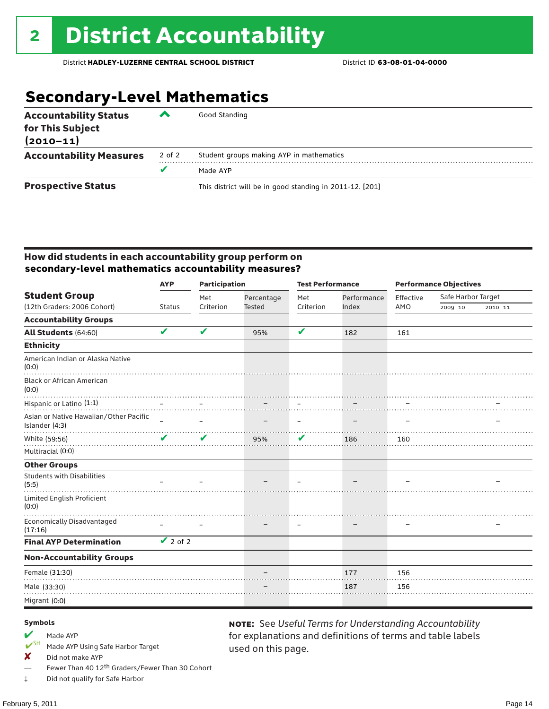### **Secondary-Level Mathematics**

| <b>Accountability Status</b><br>for This Subject<br>$(2010 - 11)$ | ‴      | Good Standing                                            |
|-------------------------------------------------------------------|--------|----------------------------------------------------------|
| <b>Accountability Measures</b>                                    | 2 of 2 | Student groups making AYP in mathematics                 |
|                                                                   | v      | Made AYP                                                 |
| <b>Prospective Status</b>                                         |        | This district will be in good standing in 2011-12. [201] |

#### How did students in each accountability group perform on **secondary-level mathematics accountability measures?**

|                                                          | <b>Participation</b><br><b>AYP</b> |                          |               | <b>Test Performance</b>  |             |           | <b>Performance Objectives</b> |             |  |
|----------------------------------------------------------|------------------------------------|--------------------------|---------------|--------------------------|-------------|-----------|-------------------------------|-------------|--|
| <b>Student Group</b>                                     |                                    | Met                      | Percentage    | Met                      | Performance | Effective | Safe Harbor Target            |             |  |
| (12th Graders: 2006 Cohort)                              | <b>Status</b>                      | Criterion                | <b>Tested</b> | Criterion                | Index       | AMO       | $2009 - 10$                   | $2010 - 11$ |  |
| <b>Accountability Groups</b>                             |                                    |                          |               |                          |             |           |                               |             |  |
| All Students (64:60)                                     | V                                  | V                        | 95%           | V                        | 182         | 161       |                               |             |  |
| <b>Ethnicity</b>                                         |                                    |                          |               |                          |             |           |                               |             |  |
| American Indian or Alaska Native<br>(0:0)                |                                    |                          |               |                          |             |           |                               |             |  |
| <b>Black or African American</b><br>(0:0)                |                                    |                          |               |                          |             |           |                               |             |  |
| Hispanic or Latino (1:1)                                 |                                    |                          |               |                          |             |           |                               |             |  |
| Asian or Native Hawaiian/Other Pacific<br>Islander (4:3) |                                    | $\overline{\phantom{0}}$ |               | $\overline{\phantom{m}}$ |             |           |                               |             |  |
| White (59:56)                                            | $\mathbf{v}$                       | V                        | 95%           | V                        | 186         | 160       |                               |             |  |
| Multiracial (0:0)                                        |                                    |                          |               |                          |             |           |                               |             |  |
| <b>Other Groups</b>                                      |                                    |                          |               |                          |             |           |                               |             |  |
| <b>Students with Disabilities</b><br>(5:5)               |                                    |                          |               |                          |             |           |                               |             |  |
| <b>Limited English Proficient</b><br>(0:0)               |                                    |                          |               |                          |             |           |                               |             |  |
| <b>Economically Disadvantaged</b><br>(17:16)             |                                    |                          |               |                          |             |           |                               |             |  |
| <b>Final AYP Determination</b>                           | $\sqrt{2}$ of 2                    |                          |               |                          |             |           |                               |             |  |
| <b>Non-Accountability Groups</b>                         |                                    |                          |               |                          |             |           |                               |             |  |
| Female (31:30)                                           |                                    |                          |               |                          | 177         | 156       |                               |             |  |
| Male (33:30)                                             |                                    |                          |               |                          | 187         | 156       |                               |             |  |
| Migrant (0:0)                                            |                                    |                          |               |                          |             |           |                               |             |  |

used on this page.

note: See *Useful Terms for Understanding Accountability*  for explanations and definitions of terms and table labels

#### Symbols

Made AYP<br>
<del>V</del>SH Made AVP

Made AYP Using Safe Harbor Target

 $\boldsymbol{X}$  Did not make AYP

Fewer Than 40 12<sup>th</sup> Graders/Fewer Than 30 Cohort

‡ Did not qualify for Safe Harbor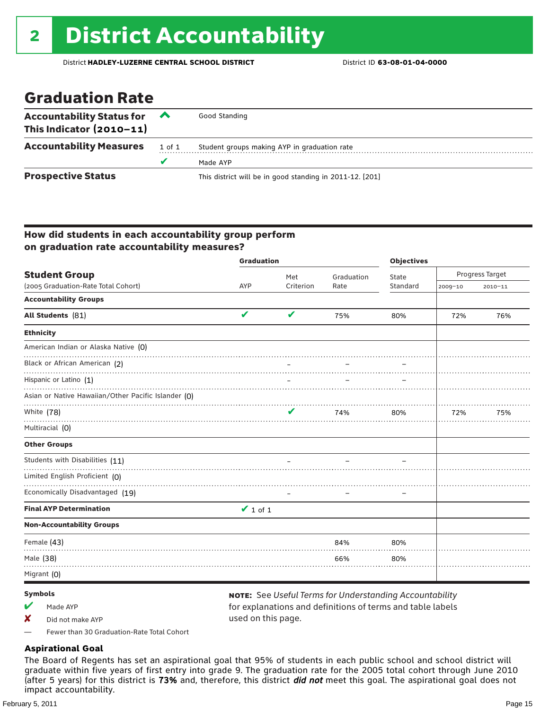### Graduation Rate

| <b>Accountability Status for</b><br>This Indicator $(2010-11)$ | $\sim$ | Good Standing                                            |
|----------------------------------------------------------------|--------|----------------------------------------------------------|
| <b>Accountability Measures</b>                                 | 1 of 1 | Student groups making AYP in graduation rate             |
|                                                                | v      | Made AYP                                                 |
| <b>Prospective Status</b>                                      |        | This district will be in good standing in 2011-12. [201] |

#### How did students in each accountability group perform on graduation rate accountability measures?

|                                                     | <b>Graduation</b> |           | <b>Objectives</b> |          |                 |             |
|-----------------------------------------------------|-------------------|-----------|-------------------|----------|-----------------|-------------|
| <b>Student Group</b>                                |                   | Met       | Graduation        | State    | Progress Target |             |
| (2005 Graduation-Rate Total Cohort)                 | AYP               | Criterion | Rate              | Standard | 2009-10         | $2010 - 11$ |
| <b>Accountability Groups</b>                        |                   |           |                   |          |                 |             |
| All Students (81)                                   | $\checkmark$      | ✔         | 75%               | 80%      | 72%             | 76%         |
| <b>Ethnicity</b>                                    |                   |           |                   |          |                 |             |
| American Indian or Alaska Native (0)                |                   |           |                   |          |                 |             |
| Black or African American (2)                       |                   |           |                   |          |                 |             |
| Hispanic or Latino (1)                              |                   |           |                   |          |                 |             |
| Asian or Native Hawaiian/Other Pacific Islander (0) |                   |           |                   |          |                 |             |
| White (78)                                          |                   | V         | 74%               | 80%      | 72%             | 75%         |
| Multiracial (0)                                     |                   |           |                   |          |                 |             |
| <b>Other Groups</b>                                 |                   |           |                   |          |                 |             |
| Students with Disabilities (11)                     |                   |           |                   |          |                 |             |
| Limited English Proficient (0)                      |                   |           |                   |          |                 |             |
| Economically Disadvantaged (19)                     |                   |           |                   |          |                 |             |
| <b>Final AYP Determination</b>                      | $\vee$ 1 of 1     |           |                   |          |                 |             |
| <b>Non-Accountability Groups</b>                    |                   |           |                   |          |                 |             |
| Female (43)                                         |                   |           | 84%               | 80%      |                 |             |
| Male (38)                                           |                   |           | 66%               | 80%      |                 |             |
| Migrant (0)                                         |                   |           |                   |          |                 |             |

#### Symbols

- $M$  Made AYP
- X Did not make AYP

note: See *Useful Terms for Understanding Accountability*  for explanations and definitions of terms and table labels used on this page.

— Fewer than 30 Graduation-Rate Total Cohort

#### **Aspirational Goal**

The Board of Regents has set an aspirational goal that 95% of students in each public school and school district will graduate within five years of first entry into grade 9. The graduation rate for the 2005 total cohort through June 2010 (after 5 years) for this district is 73% and, therefore, this district *did not* meet this goal. The aspirational goal does not impact accountability.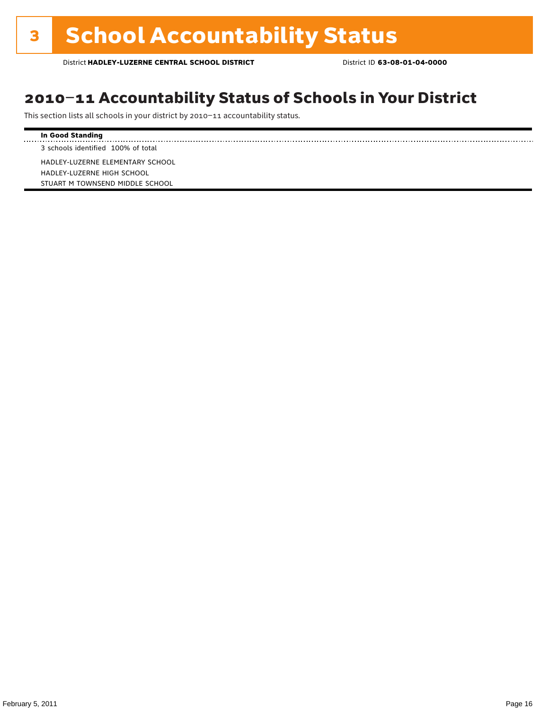### 2010–11 Accountability Status of Schools in Your District

This section lists all schools in your district by 2010–11 accountability status.

#### **In Good Standing**

3 schools identified 100% of total

HADLEY-LUZERNE ELEMENTARY SCHOOL HADLEY-LUZERNE HIGH SCHOOL STUART M TOWNSEND MIDDLE SCHOOL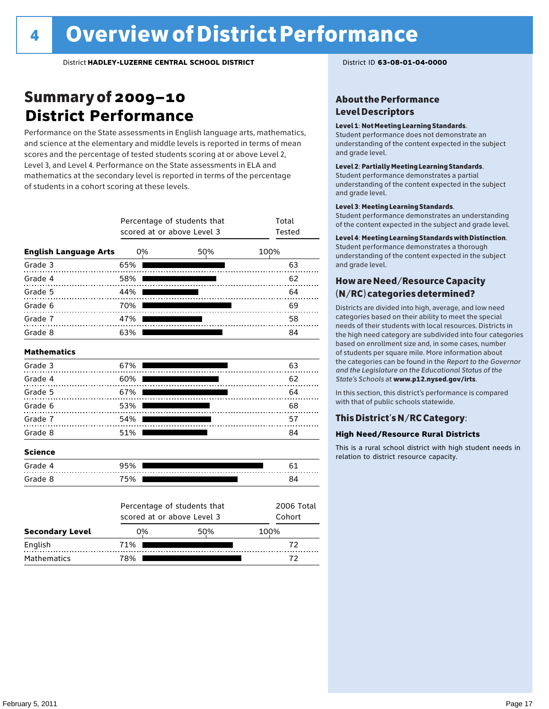### Summary of 2009–10 **District Performance**

Performance on the State assessments in English language arts, mathematics, and science at the elementary and middle levels is reported in terms of mean scores and the percentage of tested students scoring at or above Level 2, Level 3, and Level 4. Performance on the State assessments in ELA and mathematics at the secondary level is reported in terms of the percentage of students in a cohort scoring at these levels.

|                              |     | Percentage of students that<br>scored at or above Level 3 | Total<br>Tested      |
|------------------------------|-----|-----------------------------------------------------------|----------------------|
| <b>English Language Arts</b> | 0%  | 50%                                                       | 100%                 |
| Grade 3                      | 65% |                                                           | 63                   |
| Grade 4<br>.                 | 58% |                                                           | 62                   |
| Grade 5                      | 44% |                                                           | 64                   |
| Grade 6                      | 70% |                                                           | 69                   |
| Grade 7<br>.                 | 47% |                                                           | 58                   |
| Grade 8                      | 63% |                                                           | 84                   |
| <b>Mathematics</b>           |     |                                                           |                      |
| Grade 3                      | 67% |                                                           | 63                   |
| Grade 4                      | 60% |                                                           | 62                   |
| Grade 5                      | 67% |                                                           | 64                   |
| Grade 6                      | 53% |                                                           | 68                   |
| Grade 7                      | 54% | .                                                         | 57                   |
| Grade 8                      | 51% |                                                           | 84                   |
| <b>Science</b>               |     |                                                           |                      |
| Grade 4                      | 95% |                                                           | 61                   |
| Grade 8                      | 75% |                                                           | 84                   |
|                              |     | Percentage of students that<br>scored at or above Level 3 | 2006 Total<br>Cohort |
| <b>Secondary Level</b>       | 0%  | 50%                                                       | 100%                 |

English 71% 72 Mathematics 78% 78% 78% 72

#### About the Performance Level Descriptors

#### Level 1: Not Meeting Learning Standards.

Student performance does not demonstrate an understanding of the content expected in the subject and grade level.

#### Level 2: Partially Meeting Learning Standards.

Student performance demonstrates a partial understanding of the content expected in the subject and grade level.

#### Level 3: Meeting Learning Standards.

Student performance demonstrates an understanding of the content expected in the subject and grade level.

#### Level 4: Meeting Learning Standards with Distinction.

Student performance demonstrates a thorough understanding of the content expected in the subject and grade level.

#### How are Need/Resource Capacity (N/RC) categories determined?

Districts are divided into high, average, and low need categories based on their ability to meet the special needs of their students with local resources. Districts in the high need category are subdivided into four categories based on enrollment size and, in some cases, number of students per square mile. More information about the categories can be found in the *Report to the Governor and the Legislature on the Educational Status of the State's Schools* at www.p12.nysed.gov/irts.

In this section, this district's performance is compared with that of public schools statewide.

#### This District's N/RC Category:

#### **High Need/Resource Rural Districts**

This is a rural school district with high student needs in relation to district resource capacity.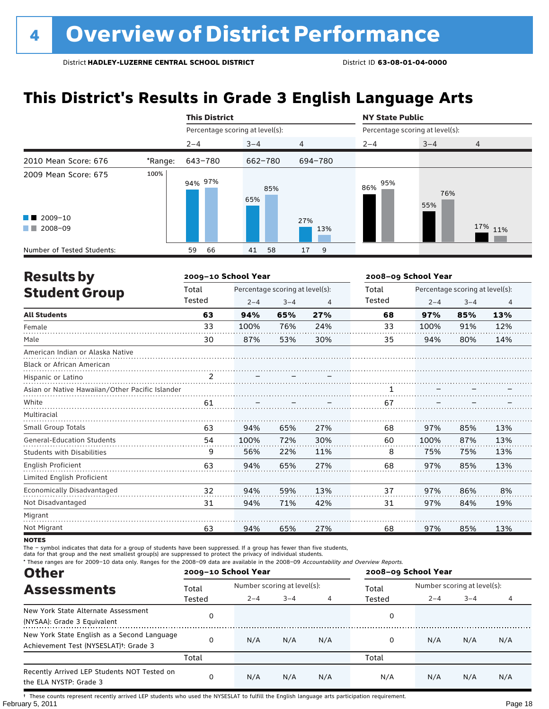### **This District's Results in Grade 3 English Language Arts**

|                                                                                                                                                                                                                                                 |         | <b>This District</b>            |            |         | <b>NY State Public</b>          |            |                |  |
|-------------------------------------------------------------------------------------------------------------------------------------------------------------------------------------------------------------------------------------------------|---------|---------------------------------|------------|---------|---------------------------------|------------|----------------|--|
|                                                                                                                                                                                                                                                 |         | Percentage scoring at level(s): |            |         | Percentage scoring at level(s): |            |                |  |
|                                                                                                                                                                                                                                                 |         | $2 - 4$                         | $3 - 4$    | 4       | $2 - 4$                         | $3 - 4$    | $\overline{4}$ |  |
| 2010 Mean Score: 676                                                                                                                                                                                                                            | *Range: | 643-780                         | 662-780    | 694-780 |                                 |            |                |  |
| 2009 Mean Score: 675                                                                                                                                                                                                                            | 100%    | 94% 97%                         | 85%<br>65% |         | 95%<br>86%                      | 76%<br>55% |                |  |
| $\blacksquare$ 2009-10                                                                                                                                                                                                                          |         |                                 |            | 27%     |                                 |            |                |  |
| 2008-09<br><b>The Contract of the Contract of the Contract of the Contract of the Contract of the Contract of the Contract of the Contract of the Contract of the Contract of the Contract of the Contract of The Contract of The Contract </b> |         |                                 |            | 13%     |                                 |            | 17% 11%        |  |
| Number of Tested Students:                                                                                                                                                                                                                      |         | 66<br>59                        | 58<br>41   | 17<br>9 |                                 |            |                |  |

| <b>Results by</b>                               |        | 2009-10 School Year |                                 |     | 2008-09 School Year |                                 |         |                |
|-------------------------------------------------|--------|---------------------|---------------------------------|-----|---------------------|---------------------------------|---------|----------------|
| <b>Student Group</b>                            | Total  |                     | Percentage scoring at level(s): |     | Total               | Percentage scoring at level(s): |         |                |
|                                                 | Tested | $2 - 4$             | $3 - 4$                         | 4   | Tested              | $2 - 4$                         | $3 - 4$ | $\overline{4}$ |
| <b>All Students</b>                             | 63     | 94%                 | 65%                             | 27% | 68                  | 97%                             | 85%     | 13%            |
| Female                                          | 33     | 100%                | 76%                             | 24% | 33                  | 100%                            | 91%     | 12%            |
| Male                                            | 30     | 87%                 | 53%                             | 30% | 35                  | 94%                             | 80%     | 14%            |
| American Indian or Alaska Native                |        |                     |                                 |     |                     |                                 |         |                |
| Black or African American                       |        |                     |                                 |     |                     |                                 |         |                |
| Hispanic or Latino                              | 2      |                     |                                 |     |                     |                                 |         |                |
| Asian or Native Hawaiian/Other Pacific Islander |        |                     |                                 |     |                     |                                 |         |                |
| White                                           | 61     |                     |                                 |     | 67                  |                                 |         |                |
| Multiracial                                     |        |                     |                                 |     |                     |                                 |         |                |
| <b>Small Group Totals</b>                       | 63     | 94%                 | 65%                             | 27% | 68                  | 97%                             | 85%     | 13%            |
| <b>General-Education Students</b>               | 54     | 100%                | 72%                             | 30% | 60                  | 100%                            | 87%     | 13%            |
| <b>Students with Disabilities</b>               | 9      | 56%                 | 22%                             | 11% | 8                   | 75%                             | 75%     | 13%            |
| English Proficient                              | 63     | 94%                 | 65%                             | 27% | 68                  | 97%                             | 85%     | 13%            |
| Limited English Proficient                      |        |                     |                                 |     |                     |                                 |         |                |
| Economically Disadvantaged                      | 32     | 94%                 | 59%                             | 13% | 37                  | 97%                             | 86%     | 8%             |
| Not Disadvantaged                               | 31     | 94%                 | 71%                             | 42% | 31                  | 97%                             | 84%     | 19%            |
| Migrant                                         |        |                     |                                 |     |                     |                                 |         |                |
| Not Migrant                                     | 63     | 94%                 | 65%                             | 27% | 68                  | 97%                             | 85%     | 13%            |

**NOTES** 

The – symbol indicates that data for a group of students have been suppressed. If a group has fewer than five students,

data for that group and the next smallest group(s) are suppressed to protect the privacy of individual students.

\* These ranges are for 2009–10 data only. Ranges for the 2008–09 data are available in the 2008–09 Accountability and Overview Reports.

| <b>Other</b>                                                                                      |        | 2009-10 School Year |                             |     | 2008-09 School Year |                             |         |     |  |
|---------------------------------------------------------------------------------------------------|--------|---------------------|-----------------------------|-----|---------------------|-----------------------------|---------|-----|--|
| <b>Assessments</b>                                                                                | Total  |                     | Number scoring at level(s): |     |                     | Number scoring at level(s): |         |     |  |
|                                                                                                   | Tested | $2 - 4$             | $3 - 4$                     |     | Tested              | $2 - 4$                     | $3 - 4$ |     |  |
| New York State Alternate Assessment<br>(NYSAA): Grade 3 Equivalent                                |        |                     |                             |     | 0                   |                             |         |     |  |
| New York State English as a Second Language<br>Achievement Test (NYSESLAT) <sup>+</sup> : Grade 3 |        | N/A                 | N/A                         | N/A | 0                   | N/A                         | N/A     | N/A |  |
|                                                                                                   | Total  |                     |                             |     | Total               |                             |         |     |  |
| Recently Arrived LEP Students NOT Tested on<br>the ELA NYSTP: Grade 3                             |        | N/A                 | N/A                         | N/A | N/A                 | N/A                         | N/A     | N/A |  |

February 5, 2011 **Page 18** † These counts represent recently arrived LEP students who used the NYSESLAT to fulfill the English language arts participation requirement.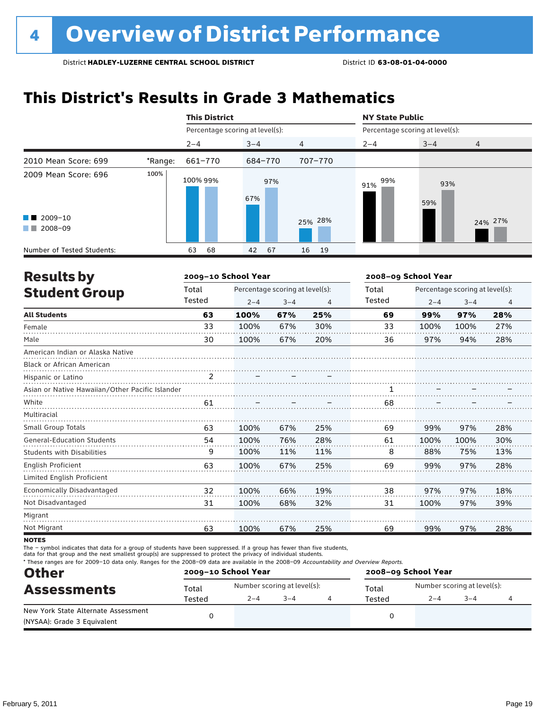### **This District's Results in Grade 3 Mathematics**

|                                                                                                                                                                                                                                                                           |         | <b>This District</b>            |            |          | <b>NY State Public</b>          |            |         |  |
|---------------------------------------------------------------------------------------------------------------------------------------------------------------------------------------------------------------------------------------------------------------------------|---------|---------------------------------|------------|----------|---------------------------------|------------|---------|--|
|                                                                                                                                                                                                                                                                           |         | Percentage scoring at level(s): |            |          | Percentage scoring at level(s): |            |         |  |
|                                                                                                                                                                                                                                                                           |         | $2 - 4$                         | $3 - 4$    | 4        | $2 - 4$                         | $3 - 4$    | 4       |  |
| 2010 Mean Score: 699                                                                                                                                                                                                                                                      | *Range: | 661-770                         | 684-770    | 707-770  |                                 |            |         |  |
| 2009 Mean Score: 696                                                                                                                                                                                                                                                      | 100%    | 100% 99%                        | 97%<br>67% |          | 99%<br>91%                      | 93%<br>59% |         |  |
| $\blacksquare$ 2009-10<br>2008-09<br><b>The Contract of the Contract of the Contract of the Contract of the Contract of the Contract of the Contract of the Contract of the Contract of the Contract of the Contract of the Contract of The Contract of The Contract </b> |         |                                 |            | 25% 28%  |                                 |            | 24% 27% |  |
| Number of Tested Students:                                                                                                                                                                                                                                                |         | 68<br>63                        | 67<br>42   | 16<br>19 |                                 |            |         |  |

| <b>Results by</b>                               |        | 2009-10 School Year |                                 |     | 2008-09 School Year |                                 |         |                |
|-------------------------------------------------|--------|---------------------|---------------------------------|-----|---------------------|---------------------------------|---------|----------------|
| <b>Student Group</b>                            | Total  |                     | Percentage scoring at level(s): |     | Total               | Percentage scoring at level(s): |         |                |
|                                                 | Tested | $2 - 4$             | $3 - 4$                         | 4   | Tested              | $2 - 4$                         | $3 - 4$ | $\overline{4}$ |
| <b>All Students</b>                             | 63     | 100%                | 67%                             | 25% | 69                  | 99%                             | 97%     | 28%            |
| Female                                          | 33     | 100%                | 67%                             | 30% | 33                  | 100%                            | 100%    | 27%            |
| Male                                            | 30     | 100%                | 67%                             | 20% | 36                  | 97%                             | 94%     | 28%            |
| American Indian or Alaska Native                |        |                     |                                 |     |                     |                                 |         |                |
| <b>Black or African American</b>                |        |                     |                                 |     |                     |                                 |         |                |
| Hispanic or Latino                              | 2      |                     |                                 |     |                     |                                 |         |                |
| Asian or Native Hawaiian/Other Pacific Islander |        |                     |                                 |     |                     |                                 |         |                |
| White                                           | 61     |                     |                                 |     | 68                  |                                 |         |                |
| Multiracial                                     |        |                     |                                 |     |                     |                                 |         |                |
| Small Group Totals                              | 63     | 100%                | 67%                             | 25% | 69                  | 99%                             | 97%     | 28%            |
| <b>General-Education Students</b>               | 54     | 100%                | 76%                             | 28% | 61                  | 100%                            | 100%    | 30%            |
| <b>Students with Disabilities</b>               | 9      | 100%                | 11%                             | 11% | 8                   | 88%                             | 75%     | 13%            |
| <b>English Proficient</b>                       | 63     | 100%                | 67%                             | 25% | 69                  | 99%                             | 97%     | 28%            |
| Limited English Proficient                      |        |                     |                                 |     |                     |                                 |         |                |
| Economically Disadvantaged                      | 32     | 100%                | 66%                             | 19% | 38                  | 97%                             | 97%     | 18%            |
| Not Disadvantaged                               | 31     | 100%                | 68%                             | 32% | 31                  | 100%                            | 97%     | 39%            |
| Migrant                                         |        |                     |                                 |     |                     |                                 |         |                |
| Not Migrant                                     | 63     | 100%                | 67%                             | 25% | 69                  | 99%                             | 97%     | 28%            |

**NOTES** 

The – symbol indicates that data for a group of students have been suppressed. If a group has fewer than five students,

data for that group and the next smallest group(s) are suppressed to protect the privacy of individual students.

\* These ranges are for 2009–10 data only. Ranges for the 2008–09 data are available in the 2008–09 Accountability and Overview Reports.

| <b>Other</b>                                                       |        | 2009-10 School Year |                             | 2008-09 School Year |                             |         |  |  |
|--------------------------------------------------------------------|--------|---------------------|-----------------------------|---------------------|-----------------------------|---------|--|--|
| <b>Assessments</b>                                                 | Total  |                     | Number scoring at level(s): | Total               | Number scoring at level(s): |         |  |  |
|                                                                    | Tested | $2 - 4$             | $3 - 4$                     | Tested              | $2 - 4$                     | $3 - 4$ |  |  |
| New York State Alternate Assessment<br>(NYSAA): Grade 3 Equivalent |        |                     |                             |                     |                             |         |  |  |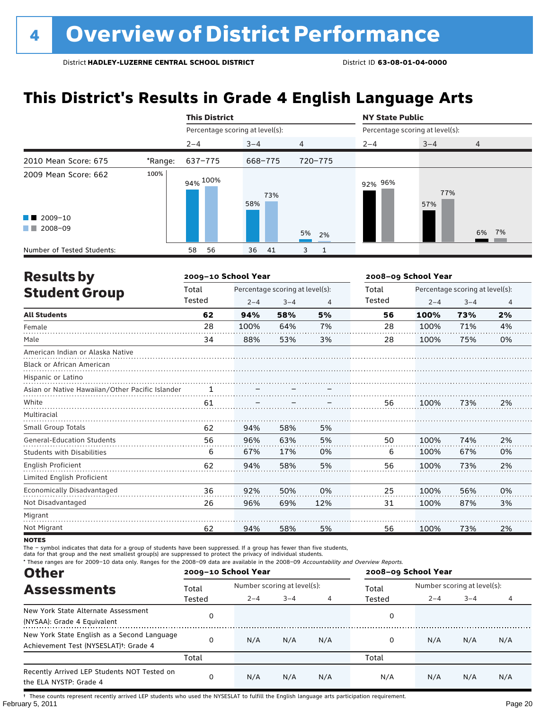### **This District's Results in Grade 4 English Language Arts**

|                                                                                                                                                                                                                                                                                                   |         | <b>This District</b>            |            |                   | <b>NY State Public</b>          |            |                |  |
|---------------------------------------------------------------------------------------------------------------------------------------------------------------------------------------------------------------------------------------------------------------------------------------------------|---------|---------------------------------|------------|-------------------|---------------------------------|------------|----------------|--|
|                                                                                                                                                                                                                                                                                                   |         | Percentage scoring at level(s): |            |                   | Percentage scoring at level(s): |            |                |  |
|                                                                                                                                                                                                                                                                                                   |         | $2 - 4$                         | $3 - 4$    | $\overline{4}$    | $2 - 4$                         | $3 - 4$    | $\overline{4}$ |  |
| 2010 Mean Score: 675                                                                                                                                                                                                                                                                              | *Range: | 637-775                         | 668-775    | 720-775           |                                 |            |                |  |
| 2009 Mean Score: 662<br>$\blacksquare$ 2009-10<br>2008-09<br><b>The Contract of the Contract of the Contract of the Contract of the Contract of the Contract of the Contract of the Contract of the Contract of the Contract of the Contract of the Contract of The Contract of The Contract </b> | 100%    | 94% <sup>100%</sup>             | 73%<br>58% | 5%<br>2%          | 92% 96%                         | 77%<br>57% | 6% 7%          |  |
| Number of Tested Students:                                                                                                                                                                                                                                                                        |         | 56<br>58                        | 36<br>- 41 | 3<br>$\mathbf{1}$ |                                 |            |                |  |

| <b>Results by</b>                               |        | 2009-10 School Year |                                 |     | 2008-09 School Year |                                 |         |    |  |
|-------------------------------------------------|--------|---------------------|---------------------------------|-----|---------------------|---------------------------------|---------|----|--|
| <b>Student Group</b>                            | Total  |                     | Percentage scoring at level(s): |     | Total               | Percentage scoring at level(s): |         |    |  |
|                                                 | Tested | $2 - 4$             | $3 - 4$                         | 4   | Tested              | $2 - 4$                         | $3 - 4$ | 4  |  |
| <b>All Students</b>                             | 62     | 94%                 | 58%                             | 5%  | 56                  | 100%                            | 73%     | 2% |  |
| Female                                          | 28     | 100%                | 64%                             | 7%  | 28                  | 100%                            | 71%     | 4% |  |
| Male                                            | 34     | 88%                 | 53%                             | 3%  | 28                  | 100%                            | 75%     | 0% |  |
| American Indian or Alaska Native                |        |                     |                                 |     |                     |                                 |         |    |  |
| Black or African American                       |        |                     |                                 |     |                     |                                 |         |    |  |
| Hispanic or Latino                              |        |                     |                                 |     |                     |                                 |         |    |  |
| Asian or Native Hawaiian/Other Pacific Islander |        |                     |                                 |     |                     |                                 |         |    |  |
| White                                           | 61     |                     |                                 |     | 56                  | 100%                            | 73%     | 2% |  |
| Multiracial                                     |        |                     |                                 |     |                     |                                 |         |    |  |
| <b>Small Group Totals</b>                       | 62     | 94%                 | 58%                             | 5%  |                     |                                 |         |    |  |
| <b>General-Education Students</b>               | 56     | 96%                 | 63%                             | 5%  | 50                  | 100%                            | 74%     | 2% |  |
| <b>Students with Disabilities</b>               | 6      | 67%                 | 17%                             | 0%  | 6                   | 100%                            | 67%     | 0% |  |
| English Proficient                              | 62     | 94%                 | 58%                             | 5%  | 56                  | 100%                            | 73%     | 2% |  |
| Limited English Proficient                      |        |                     |                                 |     |                     |                                 |         |    |  |
| Economically Disadvantaged                      | 36     | 92%                 | 50%                             | 0%  | 25                  | 100%                            | 56%     | 0% |  |
| Not Disadvantaged                               | 26     | 96%                 | 69%                             | 12% | 31                  | 100%                            | 87%     | 3% |  |
| Migrant                                         |        |                     |                                 |     |                     |                                 |         |    |  |
| Not Migrant                                     | 62     | 94%                 | 58%                             | 5%  | 56                  | 100%                            | 73%     | 2% |  |

**NOTES** 

The – symbol indicates that data for a group of students have been suppressed. If a group has fewer than five students,

data for that group and the next smallest group(s) are suppressed to protect the privacy of individual students.

\* These ranges are for 2009–10 data only. Ranges for the 2008–09 data are available in the 2008–09 Accountability and Overview Reports.

| <b>Other</b>                                                                                      |        | 2009-10 School Year |                             |     | 2008-09 School Year |                             |         |     |  |
|---------------------------------------------------------------------------------------------------|--------|---------------------|-----------------------------|-----|---------------------|-----------------------------|---------|-----|--|
| <b>Assessments</b>                                                                                | Total  |                     | Number scoring at level(s): |     |                     | Number scoring at level(s): |         |     |  |
|                                                                                                   | Tested | $2 - 4$             | $3 - 4$                     |     | Tested              | $2 - 4$                     | $3 - 4$ |     |  |
| New York State Alternate Assessment<br>(NYSAA): Grade 4 Equivalent                                |        |                     |                             |     | 0                   |                             |         |     |  |
| New York State English as a Second Language<br>Achievement Test (NYSESLAT) <sup>†</sup> : Grade 4 |        | N/A                 | N/A                         | N/A | 0                   | N/A                         | N/A     | N/A |  |
|                                                                                                   | Total  |                     |                             |     | Total               |                             |         |     |  |
| Recently Arrived LEP Students NOT Tested on<br>the ELA NYSTP: Grade 4                             |        | N/A                 | N/A                         | N/A | N/A                 | N/A                         | N/A     | N/A |  |

February 5, 2011 Page 20 † These counts represent recently arrived LEP students who used the NYSESLAT to fulfill the English language arts participation requirement.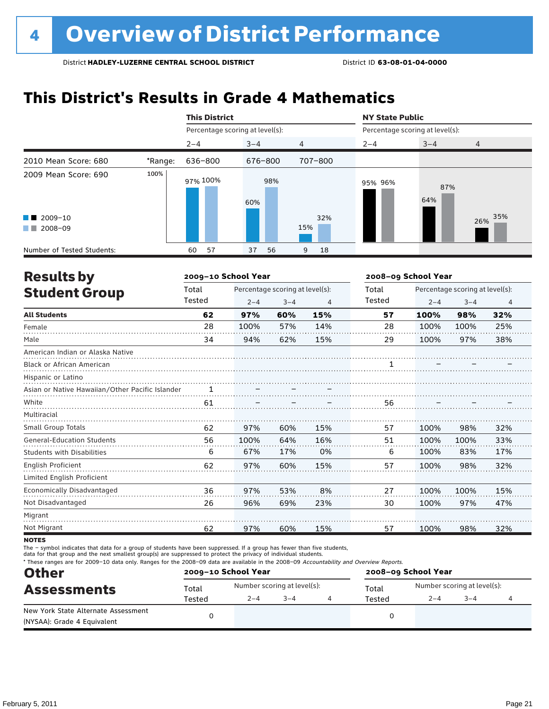### **This District's Results in Grade 4 Mathematics**

|                                                                                                                                                                                                                                                 |         | <b>This District</b>            |            |         | <b>NY State Public</b>          |            |            |  |
|-------------------------------------------------------------------------------------------------------------------------------------------------------------------------------------------------------------------------------------------------|---------|---------------------------------|------------|---------|---------------------------------|------------|------------|--|
|                                                                                                                                                                                                                                                 |         | Percentage scoring at level(s): |            |         | Percentage scoring at level(s): |            |            |  |
|                                                                                                                                                                                                                                                 |         | $2 - 4$                         | $3 - 4$    | 4       | $2 - 4$                         | $3 - 4$    | 4          |  |
| 2010 Mean Score: 680                                                                                                                                                                                                                            | *Range: | 636-800                         | 676-800    | 707-800 |                                 |            |            |  |
| 2009 Mean Score: 690                                                                                                                                                                                                                            | 100%    | 97% 100%                        | 98%<br>60% |         | 95% 96%                         | 87%<br>64% |            |  |
| $\blacksquare$ 2009-10                                                                                                                                                                                                                          |         |                                 |            | 32%     |                                 |            | 35%<br>26% |  |
| 2008-09<br><b>The Contract of the Contract of the Contract of the Contract of the Contract of the Contract of the Contract of the Contract of the Contract of the Contract of the Contract of the Contract of The Contract of The Contract </b> |         |                                 |            | 15%     |                                 |            |            |  |
| Number of Tested Students:                                                                                                                                                                                                                      |         | 57<br>60                        | 56<br>37   | 18<br>9 |                                 |            |            |  |

| <b>Results by</b>                               |        | 2009-10 School Year |                                 |                | 2008-09 School Year |                                 |         |     |
|-------------------------------------------------|--------|---------------------|---------------------------------|----------------|---------------------|---------------------------------|---------|-----|
| <b>Student Group</b>                            | Total  |                     | Percentage scoring at level(s): |                | Total               | Percentage scoring at level(s): |         |     |
|                                                 | Tested | $2 - 4$             | $3 - 4$                         | $\overline{4}$ | Tested              | $2 - 4$                         | $3 - 4$ | 4   |
| <b>All Students</b>                             | 62     | 97%                 | 60%                             | 15%            | 57                  | 100%                            | 98%     | 32% |
| Female                                          | 28     | 100%                | 57%                             | 14%            | 28                  | 100%                            | 100%    | 25% |
| Male                                            | 34     | 94%                 | 62%                             | 15%            | 29                  | 100%                            | 97%     | 38% |
| American Indian or Alaska Native                |        |                     |                                 |                |                     |                                 |         |     |
| <b>Black or African American</b>                |        |                     |                                 |                |                     |                                 |         |     |
| Hispanic or Latino                              |        |                     |                                 |                |                     |                                 |         |     |
| Asian or Native Hawaiian/Other Pacific Islander |        |                     |                                 |                |                     |                                 |         |     |
| White                                           | 61     |                     |                                 |                | 56                  |                                 |         |     |
| Multiracial                                     |        |                     |                                 |                |                     |                                 |         |     |
| <b>Small Group Totals</b>                       | 62     | 97%                 | 60%                             | 15%            | 57                  | 100%                            | 98%     | 32% |
| <b>General-Education Students</b>               | 56     | 100%                | 64%                             | 16%            | 51                  | 100%                            | 100%    | 33% |
| <b>Students with Disabilities</b>               | 6      | 67%                 | 17%                             | 0%             | 6                   | 100%                            | 83%     | 17% |
| English Proficient                              | 62     | 97%                 | 60%                             | 15%            | 57                  | 100%                            | 98%     | 32% |
| Limited English Proficient                      |        |                     |                                 |                |                     |                                 |         |     |
| Economically Disadvantaged                      | 36     | 97%                 | 53%                             | 8%             | 27                  | 100%                            | 100%    | 15% |
| Not Disadvantaged                               | 26     | 96%                 | 69%                             | 23%            | 30                  | 100%                            | 97%     | 47% |
| Migrant                                         |        |                     |                                 |                |                     |                                 |         |     |
| Not Migrant                                     | 62     | 97%                 | 60%                             | 15%            | 57                  | 100%                            | 98%     | 32% |

**NOTES** 

The – symbol indicates that data for a group of students have been suppressed. If a group has fewer than five students,

data for that group and the next smallest group(s) are suppressed to protect the privacy of individual students.

\* These ranges are for 2009–10 data only. Ranges for the 2008–09 data are available in the 2008–09 Accountability and Overview Reports.

| <b>Other</b>                                                       |        | 2009-10 School Year |                             | 2008-09 School Year |                             |         |  |  |
|--------------------------------------------------------------------|--------|---------------------|-----------------------------|---------------------|-----------------------------|---------|--|--|
| <b>Assessments</b>                                                 | Total  |                     | Number scoring at level(s): | Total               | Number scoring at level(s): |         |  |  |
|                                                                    | Tested | $2 - 4$             | $3 - 4$                     | Tested              | $2 - 4$                     | $3 - 4$ |  |  |
| New York State Alternate Assessment<br>(NYSAA): Grade 4 Equivalent |        |                     |                             |                     |                             |         |  |  |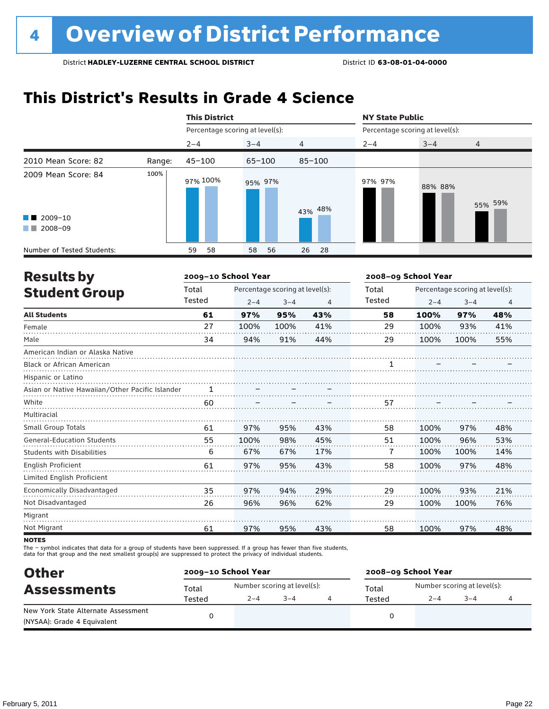### **This District's Results in Grade 4 Science**

|                                                                           |        | <b>This District</b>            |            |            | <b>NY State Public</b>          |         |                |  |
|---------------------------------------------------------------------------|--------|---------------------------------|------------|------------|---------------------------------|---------|----------------|--|
|                                                                           |        | Percentage scoring at level(s): |            |            | Percentage scoring at level(s): |         |                |  |
|                                                                           |        | $2 - 4$                         | $3 - 4$    | 4          | $2 - 4$                         | $3 - 4$ | $\overline{4}$ |  |
| 2010 Mean Score: 82                                                       | Range: | $45 - 100$                      | $65 - 100$ | $85 - 100$ |                                 |         |                |  |
| 2009 Mean Score: 84<br>$\blacksquare$ 2009-10<br>2008-09<br><b>The Co</b> | 100%   | 97% 100%                        | 95% 97%    | 43% 48%    | 97% 97%                         | 88% 88% | 55% 59%        |  |
| Number of Tested Students:                                                |        | 58<br>59                        | 58<br>56   | 26<br>-28  |                                 |         |                |  |

| <b>Results by</b>                               |        | 2009-10 School Year |                                 |     | 2008-09 School Year |                                 |         |                |
|-------------------------------------------------|--------|---------------------|---------------------------------|-----|---------------------|---------------------------------|---------|----------------|
| <b>Student Group</b>                            | Total  |                     | Percentage scoring at level(s): |     | Total               | Percentage scoring at level(s): |         |                |
|                                                 | Tested | $2 - 4$             | $3 - 4$                         | 4   | Tested              | $2 - 4$                         | $3 - 4$ | $\overline{4}$ |
| <b>All Students</b>                             | 61     | 97%                 | 95%                             | 43% | 58                  | 100%                            | 97%     | 48%            |
| Female                                          | 27     | 100%                | 100%                            | 41% | 29                  | 100%                            | 93%     | 41%            |
| Male                                            | 34     | 94%                 | 91%                             | 44% | 29                  | 100%                            | 100%    | 55%            |
| American Indian or Alaska Native                |        |                     |                                 |     |                     |                                 |         |                |
| <b>Black or African American</b>                |        |                     |                                 |     |                     |                                 |         |                |
| Hispanic or Latino                              |        |                     |                                 |     |                     |                                 |         |                |
| Asian or Native Hawaiian/Other Pacific Islander |        |                     |                                 |     |                     |                                 |         |                |
| White                                           | 60     |                     |                                 |     | 57                  |                                 |         |                |
| Multiracial                                     |        |                     |                                 |     |                     |                                 |         |                |
| <b>Small Group Totals</b>                       | 61     | 97%                 | 95%                             | 43% | 58                  | 100%                            | 97%     | 48%            |
| <b>General-Education Students</b>               | 55     | 100%                | 98%                             | 45% | 51                  | 100%                            | 96%     | 53%            |
| <b>Students with Disabilities</b>               | 6      | 67%                 | 67%                             | 17% | 7                   | 100%                            | 100%    | 14%            |
| English Proficient                              | 61     | 97%                 | 95%                             | 43% | 58                  | 100%                            | 97%     | 48%            |
| Limited English Proficient                      |        |                     |                                 |     |                     |                                 |         |                |
| Economically Disadvantaged                      | 35     | 97%                 | 94%                             | 29% | 29                  | 100%                            | 93%     | 21%            |
| Not Disadvantaged                               | 26     | 96%                 | 96%                             | 62% | 29                  | 100%                            | 100%    | 76%            |
| Migrant                                         |        |                     |                                 |     |                     |                                 |         |                |
| Not Migrant                                     | 61     | 97%                 | 95%                             | 43% | 58                  | 100%                            | 97%     | 48%            |
|                                                 |        |                     |                                 |     |                     |                                 |         |                |

**NOTES** 

The – symbol indicates that data for a group of students have been suppressed. If a group has fewer than five students,<br>data for that group and the next smallest group(s) are suppressed to protect the privacy of individual

| <b>Other</b>                        |        | 2009-10 School Year |                             | 2008-09 School Year |                             |         |  |  |
|-------------------------------------|--------|---------------------|-----------------------------|---------------------|-----------------------------|---------|--|--|
| <b>Assessments</b>                  | Total  |                     | Number scoring at level(s): | Total               | Number scoring at level(s): |         |  |  |
|                                     | Tested | $2 - 4$             | $3 - 4$                     | Tested              | $2 - 4$                     | $3 - 4$ |  |  |
| New York State Alternate Assessment |        |                     |                             |                     |                             |         |  |  |
| (NYSAA): Grade 4 Equivalent         |        |                     |                             |                     |                             |         |  |  |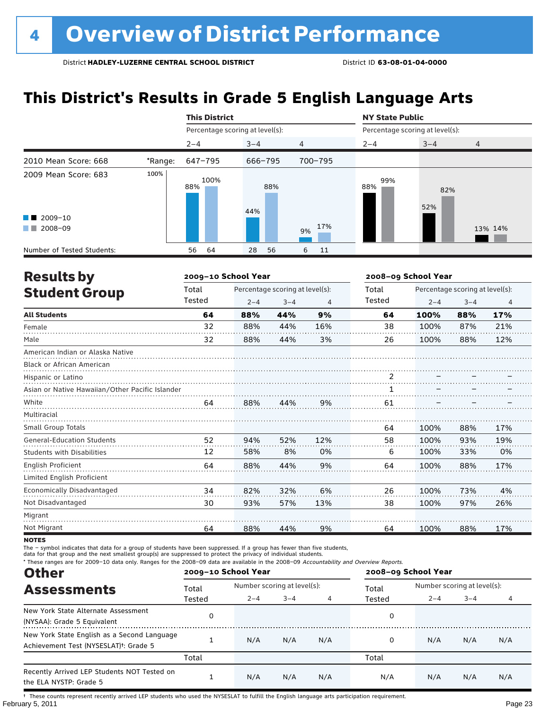### **This District's Results in Grade 5 English Language Arts**

|                                                                   |         | <b>This District</b>            |            |                | <b>NY State Public</b>          |            |                |  |
|-------------------------------------------------------------------|---------|---------------------------------|------------|----------------|---------------------------------|------------|----------------|--|
|                                                                   |         | Percentage scoring at level(s): |            |                | Percentage scoring at level(s): |            |                |  |
|                                                                   |         | $2 - 4$                         | $3 - 4$    | $\overline{4}$ | $2 - 4$                         | $3 - 4$    | $\overline{4}$ |  |
| 2010 Mean Score: 668                                              | *Range: | 647-795                         | 666-795    | 700-795        |                                 |            |                |  |
| 2009 Mean Score: 683<br>$\blacksquare$ 2009-10<br>2008-09<br>a ka | 100%    | 100%<br>88%                     | 88%<br>44% | 17%<br>9%      | 99%<br>88%                      | 82%<br>52% | 13% 14%        |  |
| Number of Tested Students:                                        |         | 64<br>56                        | 28<br>56   | 6<br>11        |                                 |            |                |  |

| <b>Results by</b>                               |        | 2009-10 School Year |                                 | 2008-09 School Year |        |         |                                 |                |
|-------------------------------------------------|--------|---------------------|---------------------------------|---------------------|--------|---------|---------------------------------|----------------|
| <b>Student Group</b>                            | Total  |                     | Percentage scoring at level(s): |                     | Total  |         | Percentage scoring at level(s): |                |
|                                                 | Tested | $2 - 4$             | $3 - 4$                         | 4                   | Tested | $2 - 4$ | $3 - 4$                         | $\overline{4}$ |
| <b>All Students</b>                             | 64     | 88%                 | 44%                             | 9%                  | 64     | 100%    | 88%                             | 17%            |
| Female                                          | 32     | 88%                 | 44%                             | 16%                 | 38     | 100%    | 87%                             | 21%            |
| Male                                            | 32     | 88%                 | 44%                             | 3%                  | 26     | 100%    | 88%                             | 12%            |
| American Indian or Alaska Native                |        |                     |                                 |                     |        |         |                                 |                |
| Black or African American                       |        |                     |                                 |                     |        |         |                                 |                |
| Hispanic or Latino                              |        |                     |                                 |                     | 2      |         |                                 |                |
| Asian or Native Hawaiian/Other Pacific Islander |        |                     |                                 |                     |        |         |                                 |                |
| White                                           | 64     | 88%                 | 44%                             | 9%                  | 61     |         |                                 |                |
| Multiracial                                     |        |                     |                                 |                     |        |         |                                 |                |
| Small Group Totals                              |        |                     |                                 |                     | 64     | 100%    | 88%                             | 17%            |
| <b>General-Education Students</b>               | 52     | 94%                 | 52%                             | 12%                 | 58     | 100%    | 93%                             | 19%            |
| <b>Students with Disabilities</b>               | 12     | 58%                 | 8%                              | 0%                  | 6      | 100%    | 33%                             | 0%             |
| <b>English Proficient</b>                       | 64     | 88%                 | 44%                             | 9%                  | 64     | 100%    | 88%                             | 17%            |
| Limited English Proficient                      |        |                     |                                 |                     |        |         |                                 |                |
| <b>Economically Disadvantaged</b>               | 34     | 82%                 | 32%                             | 6%                  | 26     | 100%    | 73%                             | 4%             |
| Not Disadvantaged                               | 30     | 93%                 | 57%                             | 13%                 | 38     | 100%    | 97%                             | 26%            |
| Migrant                                         |        |                     |                                 |                     |        |         |                                 |                |
| Not Migrant                                     | 64     | 88%                 | 44%                             | 9%                  | 64     | 100%    | 88%                             | 17%            |

**NOTES** 

The – symbol indicates that data for a group of students have been suppressed. If a group has fewer than five students,

data for that group and the next smallest group(s) are suppressed to protect the privacy of individual students.

\* These ranges are for 2009–10 data only. Ranges for the 2008–09 data are available in the 2008–09 Accountability and Overview Reports.

| <b>Other</b>                                                                                      |        | 2009-10 School Year |                             |     | 2008-09 School Year |                             |         |     |
|---------------------------------------------------------------------------------------------------|--------|---------------------|-----------------------------|-----|---------------------|-----------------------------|---------|-----|
| <b>Assessments</b>                                                                                | Total  |                     | Number scoring at level(s): |     |                     | Number scoring at level(s): |         |     |
|                                                                                                   | Tested | $2 - 4$             | $3 - 4$                     |     | Tested              | $2 - 4$                     | $3 - 4$ |     |
| New York State Alternate Assessment<br>(NYSAA): Grade 5 Equivalent                                |        |                     |                             |     | 0                   |                             |         |     |
| New York State English as a Second Language<br>Achievement Test (NYSESLAT) <sup>+</sup> : Grade 5 |        | N/A                 | N/A                         | N/A | 0                   | N/A                         | N/A     | N/A |
|                                                                                                   | Total  |                     |                             |     | Total               |                             |         |     |
| Recently Arrived LEP Students NOT Tested on<br>the ELA NYSTP: Grade 5                             |        | N/A                 | N/A                         | N/A | N/A                 | N/A                         | N/A     | N/A |

February 5, 2011 Page 23 † These counts represent recently arrived LEP students who used the NYSESLAT to fulfill the English language arts participation requirement.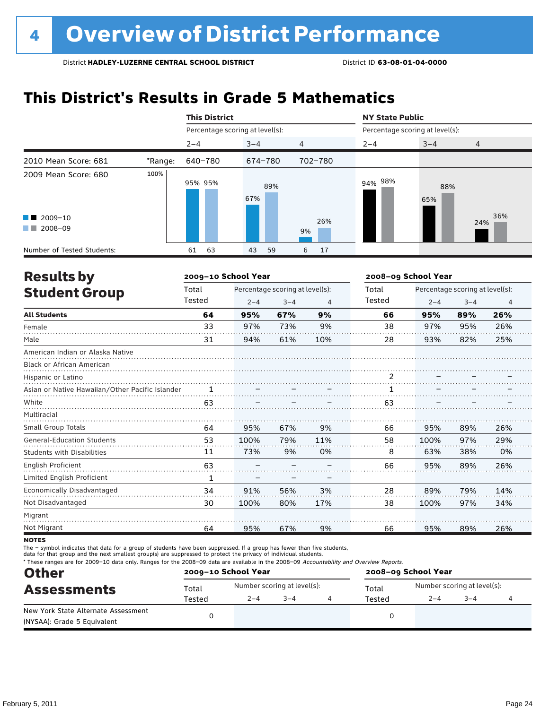### **This District's Results in Grade 5 Mathematics**

|                                             |         | <b>This District</b>            |            |           | <b>NY State Public</b>          |            |            |  |
|---------------------------------------------|---------|---------------------------------|------------|-----------|---------------------------------|------------|------------|--|
|                                             |         | Percentage scoring at level(s): |            |           | Percentage scoring at level(s): |            |            |  |
|                                             |         | $2 - 4$                         | $3 - 4$    | 4         | $2 - 4$                         | $3 - 4$    | 4          |  |
| 2010 Mean Score: 681                        | *Range: | 640-780                         | 674-780    | 702-780   |                                 |            |            |  |
| 2009 Mean Score: 680                        | 100%    | 95% 95%                         | 89%<br>67% |           | 94% 98%                         | 88%<br>65% |            |  |
| $\blacksquare$ 2009-10<br>2008-09<br>a sa T |         |                                 |            | 26%<br>9% |                                 |            | 36%<br>24% |  |
| Number of Tested Students:                  |         | 63<br>61                        | 59<br>43   | 17<br>6   |                                 |            |            |  |

| <b>Results by</b>                               |              | 2009-10 School Year |                                 |                | 2008-09 School Year |         |                                 |                |
|-------------------------------------------------|--------------|---------------------|---------------------------------|----------------|---------------------|---------|---------------------------------|----------------|
| <b>Student Group</b>                            | Total        |                     | Percentage scoring at level(s): |                | Total               |         | Percentage scoring at level(s): |                |
|                                                 | Tested       | $2 - 4$             | $3 - 4$                         | $\overline{4}$ | Tested              | $2 - 4$ | $3 - 4$                         | $\overline{4}$ |
| <b>All Students</b>                             | 64           | 95%                 | 67%                             | 9%             | 66                  | 95%     | 89%                             | 26%            |
| Female                                          | 33           | 97%                 | 73%                             | 9%             | 38                  | 97%     | 95%                             | 26%            |
| Male                                            | 31           | 94%                 | 61%                             | 10%            | 28                  | 93%     | 82%                             | 25%            |
| American Indian or Alaska Native                |              |                     |                                 |                |                     |         |                                 |                |
| <b>Black or African American</b>                |              |                     |                                 |                |                     |         |                                 |                |
| Hispanic or Latino                              |              |                     |                                 |                | $\overline{2}$      |         |                                 |                |
| Asian or Native Hawaiian/Other Pacific Islander |              |                     |                                 |                |                     |         |                                 |                |
| White                                           | 63           |                     |                                 |                | 63                  |         |                                 |                |
| Multiracial                                     |              |                     |                                 |                |                     |         |                                 |                |
| <b>Small Group Totals</b>                       | 64           | 95%                 | 67%                             | 9%             | 66                  | 95%     | 89%                             | 26%            |
| <b>General-Education Students</b>               | 53           | 100%                | 79%                             | 11%            | 58                  | 100%    | 97%                             | 29%            |
| <b>Students with Disabilities</b>               | 11           | 73%                 | 9%                              | 0%             | 8                   | 63%     | 38%                             | 0%             |
| <b>English Proficient</b>                       | 63           |                     |                                 |                | 66                  | 95%     | 89%                             | 26%            |
| Limited English Proficient                      | $\mathbf{1}$ |                     |                                 |                |                     |         |                                 |                |
| Economically Disadvantaged                      | 34           | 91%                 | 56%                             | 3%             | 28                  | 89%     | 79%                             | 14%            |
| Not Disadvantaged                               | 30           | 100%                | 80%                             | 17%            | 38                  | 100%    | 97%                             | 34%            |
| Migrant                                         |              |                     |                                 |                |                     |         |                                 |                |
| Not Migrant                                     | 64           | 95%                 | 67%                             | 9%             | 66                  | 95%     | 89%                             | 26%            |

**NOTES** 

The – symbol indicates that data for a group of students have been suppressed. If a group has fewer than five students,

data for that group and the next smallest group(s) are suppressed to protect the privacy of individual students.

\* These ranges are for 2009–10 data only. Ranges for the 2008–09 data are available in the 2008–09 Accountability and Overview Reports.

| <b>Other</b>                                                       |        | 2009-10 School Year |                             | 2008-09 School Year |                             |         |  |  |
|--------------------------------------------------------------------|--------|---------------------|-----------------------------|---------------------|-----------------------------|---------|--|--|
| <b>Assessments</b>                                                 | Total  |                     | Number scoring at level(s): | Total               | Number scoring at level(s): |         |  |  |
|                                                                    | Tested | $2 - 4$             | $3 - 4$                     | Tested              | $2 - 4$                     | $3 - 4$ |  |  |
| New York State Alternate Assessment<br>(NYSAA): Grade 5 Equivalent |        |                     |                             |                     |                             |         |  |  |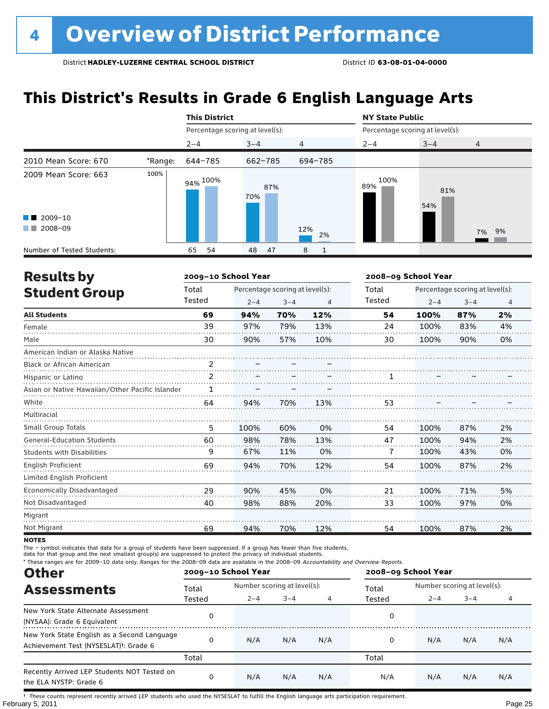### **This District's Results in Grade 6 English Language Arts**

|                            |         | <b>This District</b>            |            |                | <b>NY State Public</b>          |            |                |  |
|----------------------------|---------|---------------------------------|------------|----------------|---------------------------------|------------|----------------|--|
|                            |         | Percentage scoring at level(s): |            |                | Percentage scoring at level(s): |            |                |  |
|                            |         | $2 - 4$                         | $3 - 4$    | $\overline{4}$ | $2 - 4$                         | $3 - 4$    | $\overline{4}$ |  |
| 2010 Mean Score: 670       | *Range: | 644-785                         | 662-785    | 694-785        |                                 |            |                |  |
| 2009 Mean Score: 663       | 100%    | 94% <sup>100%</sup>             | 87%<br>70% |                | 100%<br>89%                     | 81%<br>54% |                |  |
| $\blacksquare$ 2009-10     |         |                                 |            |                |                                 |            |                |  |
| 2008-09<br>. .             |         |                                 |            | 12%<br>2%      |                                 |            | 7% 9%          |  |
| Number of Tested Students: |         | 54<br>65                        | 47<br>48   | 8              |                                 |            |                |  |

| <b>Results by</b>                               |        | 2009-10 School Year |                                 |     | 2008-09 School Year |         |                                 |                |
|-------------------------------------------------|--------|---------------------|---------------------------------|-----|---------------------|---------|---------------------------------|----------------|
| <b>Student Group</b>                            | Total  |                     | Percentage scoring at level(s): |     | Total               |         | Percentage scoring at level(s): |                |
|                                                 | Tested | $2 - 4$             | $3 - 4$                         | 4   | Tested              | $2 - 4$ | $3 - 4$                         | $\overline{4}$ |
| <b>All Students</b>                             | 69     | 94%                 | 70%                             | 12% | 54                  | 100%    | 87%                             | 2%             |
| Female                                          | 39     | 97%                 | 79%                             | 13% | 24                  | 100%    | 83%                             | 4%             |
| Male                                            | 30     | 90%                 | 57%                             | 10% | 30                  | 100%    | 90%                             | 0%             |
| American Indian or Alaska Native                |        |                     |                                 |     |                     |         |                                 |                |
| <b>Black or African American</b>                | 2      |                     |                                 |     |                     |         |                                 |                |
| Hispanic or Latino                              | 2      |                     |                                 |     |                     |         |                                 |                |
| Asian or Native Hawaiian/Other Pacific Islander | 1      |                     |                                 |     |                     |         |                                 |                |
| White                                           | 64     | 94%                 | 70%                             | 13% | 53                  |         |                                 |                |
| Multiracial                                     |        |                     |                                 |     |                     |         |                                 |                |
| <b>Small Group Totals</b>                       | 5      | 100%                | 60%                             | 0%  | 54                  | 100%    | 87%                             | 2%             |
| <b>General-Education Students</b>               | 60     | 98%                 | 78%                             | 13% | 47                  | 100%    | 94%                             | 2%             |
| <b>Students with Disabilities</b>               | 9      | 67%                 | 11%                             | 0%  | 7                   | 100%    | 43%                             | 0%             |
| English Proficient                              | 69     | 94%                 | 70%                             | 12% | 54                  | 100%    | 87%                             | 2%             |
| Limited English Proficient                      |        |                     |                                 |     |                     |         |                                 |                |
| Economically Disadvantaged                      | 29     | 90%                 | 45%                             | 0%  | 21                  | 100%    | 71%                             | 5%             |
| Not Disadvantaged                               | 40     | 98%                 | 88%                             | 20% | 33                  | 100%    | 97%                             | 0%             |
| Migrant                                         |        |                     |                                 |     |                     |         |                                 |                |
| Not Migrant                                     | 69     | 94%                 | 70%                             | 12% | 54                  | 100%    | 87%                             | 2%             |

**NOTES** 

The – symbol indicates that data for a group of students have been suppressed. If a group has fewer than five students,

data for that group and the next smallest group(s) are suppressed to protect the privacy of individual students.

\* These ranges are for 2009–10 data only. Ranges for the 2008–09 data are available in the 2008–09 Accountability and Overview Reports.

| <b>Other</b>                                                                                      |        | 2009-10 School Year |                             |     | 2008-09 School Year |                             |         |     |
|---------------------------------------------------------------------------------------------------|--------|---------------------|-----------------------------|-----|---------------------|-----------------------------|---------|-----|
| <b>Assessments</b>                                                                                | Total  |                     | Number scoring at level(s): |     |                     | Number scoring at level(s): |         |     |
|                                                                                                   | Tested | $2 - 4$             | $3 - 4$                     |     | Tested              | $2 - 4$                     | $3 - 4$ | 4   |
| New York State Alternate Assessment<br>(NYSAA): Grade 6 Equivalent                                |        |                     |                             |     | 0                   |                             |         |     |
| New York State English as a Second Language<br>Achievement Test (NYSESLAT) <sup>†</sup> : Grade 6 |        | N/A                 | N/A                         | N/A | 0                   | N/A                         | N/A     | N/A |
|                                                                                                   | Total  |                     |                             |     | Total               |                             |         |     |
| Recently Arrived LEP Students NOT Tested on<br>the ELA NYSTP: Grade 6                             |        | N/A                 | N/A                         | N/A | N/A                 | N/A                         | N/A     | N/A |

February 5, 2011 Page 25 † These counts represent recently arrived LEP students who used the NYSESLAT to fulfill the English language arts participation requirement.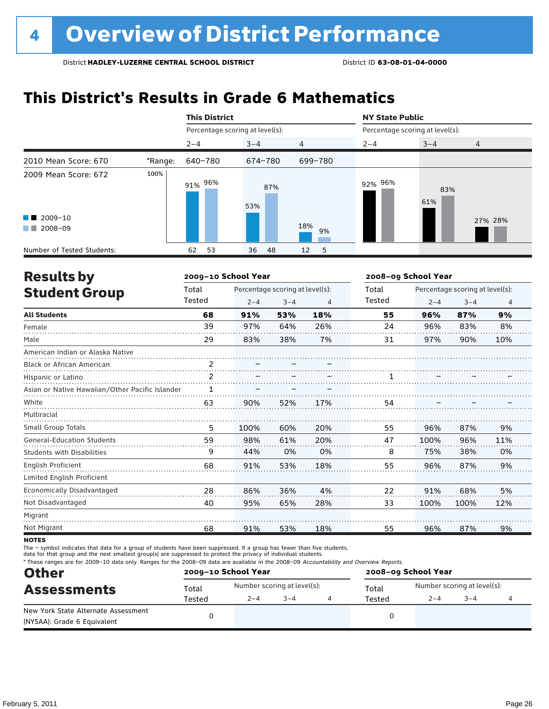### **This District's Results in Grade 6 Mathematics**

|                                                                                                                                                                                                                                                                           |         | <b>This District</b>            |            |           | <b>NY State Public</b>          |            |         |  |
|---------------------------------------------------------------------------------------------------------------------------------------------------------------------------------------------------------------------------------------------------------------------------|---------|---------------------------------|------------|-----------|---------------------------------|------------|---------|--|
|                                                                                                                                                                                                                                                                           |         | Percentage scoring at level(s): |            |           | Percentage scoring at level(s): |            |         |  |
|                                                                                                                                                                                                                                                                           |         | $2 - 4$                         | $3 - 4$    | 4         | $2 - 4$                         | $3 - 4$    | 4       |  |
| 2010 Mean Score: 670                                                                                                                                                                                                                                                      | *Range: | 640-780                         | 674-780    | 699-780   |                                 |            |         |  |
| 2009 Mean Score: 672                                                                                                                                                                                                                                                      | 100%    | 91% 96%                         | 87%<br>53% |           | 92% 96%                         | 83%<br>61% |         |  |
| $\blacksquare$ 2009-10<br>2008-09<br><b>The Contract of the Contract of the Contract of the Contract of the Contract of the Contract of the Contract of the Contract of the Contract of the Contract of the Contract of the Contract of The Contract of The Contract </b> |         |                                 |            | 18%<br>9% |                                 |            | 27% 28% |  |
| Number of Tested Students:                                                                                                                                                                                                                                                |         | 53<br>62                        | 36<br>-48  | 5<br>12   |                                 |            |         |  |

| <b>Results by</b>                               |                | 2009-10 School Year |                                 |     | 2008-09 School Year |         |                                 |                |
|-------------------------------------------------|----------------|---------------------|---------------------------------|-----|---------------------|---------|---------------------------------|----------------|
| <b>Student Group</b>                            | Total          |                     | Percentage scoring at level(s): |     | Total               |         | Percentage scoring at level(s): |                |
|                                                 | Tested         | $2 - 4$             | $3 - 4$                         | 4   | Tested              | $2 - 4$ | $3 - 4$                         | $\overline{4}$ |
| <b>All Students</b>                             | 68             | 91%                 | 53%                             | 18% | 55                  | 96%     | 87%                             | 9%             |
| Female                                          | 39             | 97%                 | 64%                             | 26% | 24                  | 96%     | 83%                             | 8%             |
| Male                                            | 29             | 83%                 | 38%                             | 7%  | 31                  | 97%     | 90%                             | 10%            |
| American Indian or Alaska Native                |                |                     |                                 |     |                     |         |                                 |                |
| <b>Black or African American</b>                | $\mathfrak{p}$ |                     |                                 |     |                     |         |                                 |                |
| Hispanic or Latino                              | 2              |                     |                                 |     |                     |         |                                 |                |
| Asian or Native Hawaiian/Other Pacific Islander |                |                     |                                 |     |                     |         |                                 |                |
| White                                           | 63             | 90%                 | 52%                             | 17% | 54                  |         |                                 |                |
| Multiracial                                     |                |                     |                                 |     |                     |         |                                 |                |
| <b>Small Group Totals</b>                       | 5              | 100%                | 60%                             | 20% | 55                  | 96%     | 87%                             | 9%             |
| <b>General-Education Students</b>               | 59             | 98%                 | 61%                             | 20% | 47                  | 100%    | 96%                             | 11%            |
| <b>Students with Disabilities</b>               | 9              | 44%                 | 0%                              | 0%  | 8                   | 75%     | 38%                             | 0%             |
| <b>English Proficient</b>                       | 68             | 91%                 | 53%                             | 18% | 55                  | 96%     | 87%                             | 9%             |
| Limited English Proficient                      |                |                     |                                 |     |                     |         |                                 |                |
| Economically Disadvantaged                      | 28             | 86%                 | 36%                             | 4%  | 22                  | 91%     | 68%                             | 5%             |
| Not Disadvantaged                               | 40             | 95%                 | 65%                             | 28% | 33                  | 100%    | 100%                            | 12%            |
| Migrant                                         |                |                     |                                 |     |                     |         |                                 |                |
| Not Migrant                                     | 68             | 91%                 | 53%                             | 18% | 55                  | 96%     | 87%                             | 9%             |

**NOTES** 

The – symbol indicates that data for a group of students have been suppressed. If a group has fewer than five students,

data for that group and the next smallest group(s) are suppressed to protect the privacy of individual students.

\* These ranges are for 2009–10 data only. Ranges for the 2008–09 data are available in the 2008–09 Accountability and Overview Reports.

| <b>Other</b>                                                       |        | 2009-10 School Year |                             | 2008-09 School Year |                             |         |  |  |
|--------------------------------------------------------------------|--------|---------------------|-----------------------------|---------------------|-----------------------------|---------|--|--|
| <b>Assessments</b>                                                 | Total  |                     | Number scoring at level(s): | Total               | Number scoring at level(s): |         |  |  |
|                                                                    | Tested | $2 - 4$             | $3 - 4$                     | Tested              | $2 - 4$                     | $3 - 4$ |  |  |
| New York State Alternate Assessment<br>(NYSAA): Grade 6 Equivalent |        |                     |                             |                     |                             |         |  |  |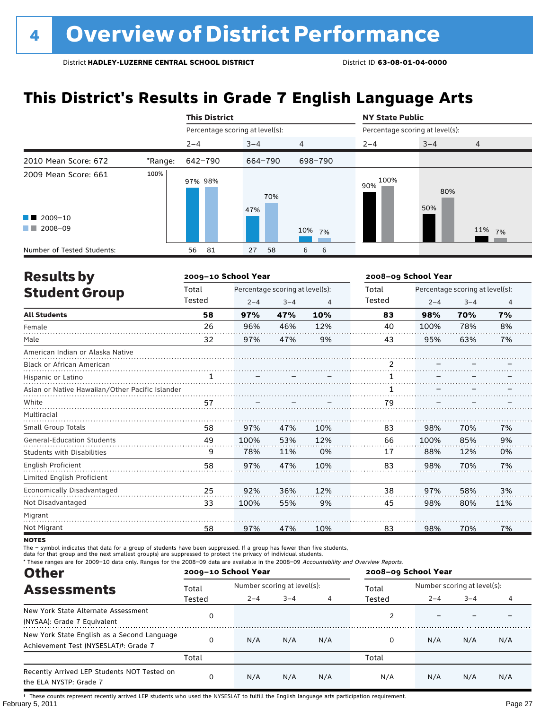### **This District's Results in Grade 7 English Language Arts**

|                                                                   |         | <b>This District</b>            |            |                | <b>NY State Public</b>          |            |                |
|-------------------------------------------------------------------|---------|---------------------------------|------------|----------------|---------------------------------|------------|----------------|
|                                                                   |         | Percentage scoring at level(s): |            |                | Percentage scoring at level(s): |            |                |
|                                                                   |         | $2 - 4$                         | $3 - 4$    | $\overline{4}$ | $2 - 4$                         | $3 - 4$    | $\overline{4}$ |
| 2010 Mean Score: 672                                              | *Range: | 642-790                         | 664-790    | 698-790        |                                 |            |                |
| 2009 Mean Score: 661<br>$\blacksquare$ 2009-10<br>2008-09<br>a ka | 100%    | 97% 98%                         | 70%<br>47% | 10% 7%         | 100%<br>90%                     | 80%<br>50% | 11% 7%         |
| Number of Tested Students:                                        |         | 81<br>56                        | 27<br>58   | 6<br>6         |                                 |            |                |

| <b>Results by</b>                               |              | 2009-10 School Year |                                 |     | 2008-09 School Year |                                 |         |     |  |
|-------------------------------------------------|--------------|---------------------|---------------------------------|-----|---------------------|---------------------------------|---------|-----|--|
| <b>Student Group</b>                            | Total        |                     | Percentage scoring at level(s): |     | Total               | Percentage scoring at level(s): |         |     |  |
|                                                 | Tested       | $2 - 4$             | $3 - 4$                         | 4   | Tested              | $2 - 4$                         | $3 - 4$ | 4   |  |
| <b>All Students</b>                             | 58           | 97%                 | 47%                             | 10% | 83                  | 98%                             | 70%     | 7%  |  |
| Female                                          | 26           | 96%                 | 46%                             | 12% | 40                  | 100%                            | 78%     | 8%  |  |
| Male                                            | 32           | 97%                 | 47%                             | 9%  | 43                  | 95%                             | 63%     | 7%  |  |
| American Indian or Alaska Native                |              |                     |                                 |     |                     |                                 |         |     |  |
| <b>Black or African American</b>                |              |                     |                                 |     | 2                   |                                 |         |     |  |
| Hispanic or Latino                              | $\mathbf{1}$ |                     |                                 |     | 1                   |                                 |         |     |  |
| Asian or Native Hawaiian/Other Pacific Islander |              |                     |                                 |     | 1                   |                                 |         |     |  |
| White                                           | 57           |                     |                                 |     | 79                  |                                 |         |     |  |
| Multiracial                                     |              |                     |                                 |     |                     |                                 |         |     |  |
| <b>Small Group Totals</b>                       | 58           | 97%                 | 47%                             | 10% | 83                  | 98%                             | 70%     | 7%  |  |
| <b>General-Education Students</b>               | 49           | 100%                | 53%                             | 12% | 66                  | 100%                            | 85%     | 9%  |  |
| <b>Students with Disabilities</b>               | 9            | 78%                 | 11%                             | 0%  | 17                  | 88%                             | 12%     | 0%  |  |
| English Proficient                              | 58           | 97%                 | 47%                             | 10% | 83                  | 98%                             | 70%     | 7%  |  |
| Limited English Proficient                      |              |                     |                                 |     |                     |                                 |         |     |  |
| Economically Disadvantaged                      | 25           | 92%                 | 36%                             | 12% | 38                  | 97%                             | 58%     | 3%  |  |
| Not Disadvantaged                               | 33           | 100%                | 55%                             | 9%  | 45                  | 98%                             | 80%     | 11% |  |
| Migrant                                         |              |                     |                                 |     |                     |                                 |         |     |  |
| Not Migrant                                     | 58           | 97%                 | 47%                             | 10% | 83                  | 98%                             | 70%     | 7%  |  |

**NOTES** 

The – symbol indicates that data for a group of students have been suppressed. If a group has fewer than five students,

data for that group and the next smallest group(s) are suppressed to protect the privacy of individual students.

\* These ranges are for 2009–10 data only. Ranges for the 2008–09 data are available in the 2008–09 Accountability and Overview Reports.

| <b>Other</b>                                                                                      |          | 2009-10 School Year         |         |     | 2008-09 School Year |                             |         |     |
|---------------------------------------------------------------------------------------------------|----------|-----------------------------|---------|-----|---------------------|-----------------------------|---------|-----|
| <b>Assessments</b>                                                                                | Total    | Number scoring at level(s): |         |     | Total               | Number scoring at level(s): |         |     |
|                                                                                                   | Tested   | $2 - 4$                     | $3 - 4$ | 4   | Tested              | $2 - 4$                     | $3 - 4$ | 4   |
| New York State Alternate Assessment<br>(NYSAA): Grade 7 Equivalent                                | 0        |                             |         |     |                     |                             |         |     |
| New York State English as a Second Language<br>Achievement Test (NYSESLAT) <sup>+</sup> : Grade 7 | $\Omega$ | N/A                         | N/A     | N/A | 0                   | N/A                         | N/A     | N/A |
|                                                                                                   | Total    |                             |         |     | Total               |                             |         |     |
| Recently Arrived LEP Students NOT Tested on<br>the ELA NYSTP: Grade 7                             | 0        | N/A                         | N/A     | N/A | N/A                 | N/A                         | N/A     | N/A |

February 5, 2011 Page 27 † These counts represent recently arrived LEP students who used the NYSESLAT to fulfill the English language arts participation requirement.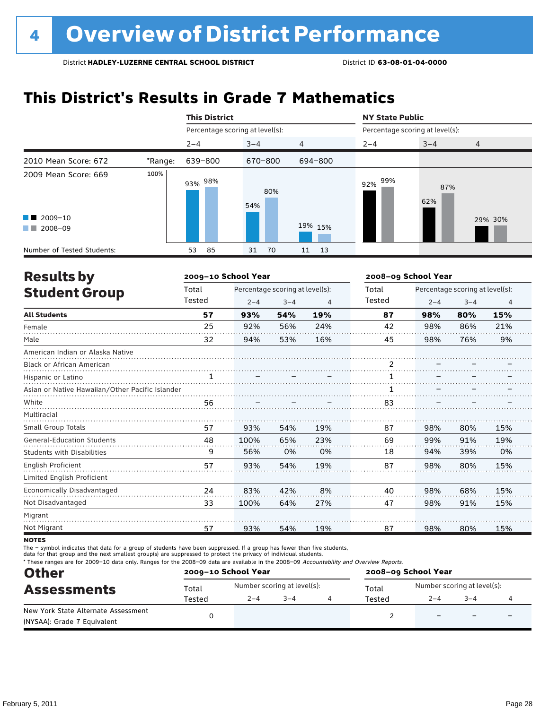### **This District's Results in Grade 7 Mathematics**

|                                                                                                                                                                                                                                                 |         | <b>This District</b>            |            |                | <b>NY State Public</b>          |            |         |  |
|-------------------------------------------------------------------------------------------------------------------------------------------------------------------------------------------------------------------------------------------------|---------|---------------------------------|------------|----------------|---------------------------------|------------|---------|--|
|                                                                                                                                                                                                                                                 |         | Percentage scoring at level(s): |            |                | Percentage scoring at level(s): |            |         |  |
|                                                                                                                                                                                                                                                 |         | $2 - 4$                         | $3 - 4$    | $\overline{4}$ | $2 - 4$                         | $3 - 4$    | 4       |  |
| 2010 Mean Score: 672                                                                                                                                                                                                                            | *Range: | 639-800                         | 670-800    | 694-800        |                                 |            |         |  |
| 2009 Mean Score: 669                                                                                                                                                                                                                            | 100%    | 93% <sup>98%</sup>              | 80%<br>54% |                | 99%<br>92%                      | 87%<br>62% |         |  |
| $\blacksquare$ 2009-10                                                                                                                                                                                                                          |         |                                 |            |                |                                 |            | 29% 30% |  |
| 2008-09<br><b>The Contract of the Contract of the Contract of the Contract of the Contract of the Contract of the Contract of the Contract of the Contract of the Contract of the Contract of the Contract of The Contract of The Contract </b> |         |                                 |            | 19% 15%        |                                 |            |         |  |
| Number of Tested Students:                                                                                                                                                                                                                      |         | 85<br>53                        | 70<br>31   | 13<br>11       |                                 |            |         |  |

| <b>Results by</b>                               |        | 2009-10 School Year |                                 |                | 2008-09 School Year |                                 |         |                |
|-------------------------------------------------|--------|---------------------|---------------------------------|----------------|---------------------|---------------------------------|---------|----------------|
| <b>Student Group</b>                            | Total  |                     | Percentage scoring at level(s): |                | Total               | Percentage scoring at level(s): |         |                |
|                                                 | Tested | $2 - 4$             | $3 - 4$                         | $\overline{4}$ | Tested              | $2 - 4$                         | $3 - 4$ | $\overline{4}$ |
| <b>All Students</b>                             | 57     | 93%                 | 54%                             | 19%            | 87                  | 98%                             | 80%     | 15%            |
| Female                                          | 25     | 92%                 | 56%                             | 24%            | 42                  | 98%                             | 86%     | 21%            |
| Male                                            | 32     | 94%                 | 53%                             | 16%            | 45                  | 98%                             | 76%     | 9%             |
| American Indian or Alaska Native                |        |                     |                                 |                |                     |                                 |         |                |
| Black or African American                       |        |                     |                                 |                | 2                   |                                 |         |                |
| Hispanic or Latino                              | 1      |                     |                                 |                |                     |                                 |         |                |
| Asian or Native Hawaiian/Other Pacific Islander |        |                     |                                 |                |                     |                                 |         |                |
| White                                           | 56     |                     |                                 |                | 83                  |                                 |         |                |
| Multiracial                                     |        |                     |                                 |                |                     |                                 |         |                |
| <b>Small Group Totals</b>                       | 57     | 93%                 | 54%                             | 19%            | 87                  | 98%                             | 80%     | 15%            |
| <b>General-Education Students</b>               | 48     | 100%                | 65%                             | 23%            | 69                  | 99%                             | 91%     | 19%            |
| <b>Students with Disabilities</b>               | 9      | 56%                 | 0%                              | 0%             | 18                  | 94%                             | 39%     | 0%             |
| <b>English Proficient</b>                       | 57     | 93%                 | 54%                             | 19%            | 87                  | 98%                             | 80%     | 15%            |
| Limited English Proficient                      |        |                     |                                 |                |                     |                                 |         |                |
| Economically Disadvantaged                      | 24     | 83%                 | 42%                             | 8%             | 40                  | 98%                             | 68%     | 15%            |
| Not Disadvantaged                               | 33     | 100%                | 64%                             | 27%            | 47                  | 98%                             | 91%     | 15%            |
| Migrant                                         |        |                     |                                 |                |                     |                                 |         |                |
| Not Migrant                                     | 57     | 93%                 | 54%                             | 19%            | 87                  | 98%                             | 80%     | 15%            |

**NOTES** 

The – symbol indicates that data for a group of students have been suppressed. If a group has fewer than five students,

data for that group and the next smallest group(s) are suppressed to protect the privacy of individual students.

\* These ranges are for 2009–10 data only. Ranges for the 2008–09 data are available in the 2008–09 Accountability and Overview Reports.

| <b>Other</b>                                                       |        | 2009-10 School Year |                             | 2008-09 School Year |                             |                          |   |  |
|--------------------------------------------------------------------|--------|---------------------|-----------------------------|---------------------|-----------------------------|--------------------------|---|--|
| <b>Assessments</b>                                                 | Total  |                     | Number scoring at level(s): | Total               | Number scoring at level(s): |                          |   |  |
|                                                                    | Tested | $2 - 4$             | $3 - 4$                     | Tested              | $2 - 4$                     | $3 - 4$                  |   |  |
| New York State Alternate Assessment<br>(NYSAA): Grade 7 Equivalent |        |                     |                             |                     |                             | $\overline{\phantom{0}}$ | - |  |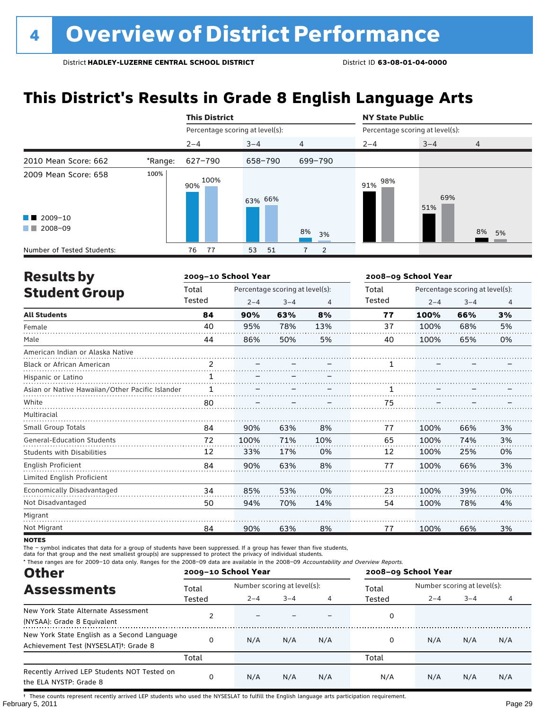### **This District's Results in Grade 8 English Language Arts**

|                                                |         | <b>This District</b>            |          |                | <b>NY State Public</b>          |            |                |  |
|------------------------------------------------|---------|---------------------------------|----------|----------------|---------------------------------|------------|----------------|--|
|                                                |         | Percentage scoring at level(s): |          |                | Percentage scoring at level(s): |            |                |  |
|                                                |         | $2 - 4$                         | $3 - 4$  | $\overline{4}$ | $2 - 4$                         | $3 - 4$    | $\overline{4}$ |  |
| 2010 Mean Score: 662                           | *Range: | 627-790                         | 658-790  | 699-790        |                                 |            |                |  |
| 2009 Mean Score: 658<br>$\blacksquare$ 2009-10 | 100%    | 100%<br>90%                     | 63% 66%  |                | 98%<br>91%                      | 69%<br>51% |                |  |
| 2008-09<br><b>The Co</b>                       |         |                                 |          | 8%<br>3%       |                                 |            | 8% 5%          |  |
| Number of Tested Students:                     |         | 77<br>76                        | 53<br>51 | 2              |                                 |            |                |  |

| <b>Results by</b>                               |               | 2009-10 School Year |                                 |     | 2008-09 School Year |                                 |         |    |  |
|-------------------------------------------------|---------------|---------------------|---------------------------------|-----|---------------------|---------------------------------|---------|----|--|
| <b>Student Group</b>                            | Total         |                     | Percentage scoring at level(s): |     | Total               | Percentage scoring at level(s): |         |    |  |
|                                                 | Tested        | $2 - 4$             | $3 - 4$                         | 4   | Tested              | $2 - 4$                         | $3 - 4$ | 4  |  |
| <b>All Students</b>                             | 84            | 90%                 | 63%                             | 8%  | 77                  | 100%                            | 66%     | 3% |  |
| Female                                          | 40            | 95%                 | 78%                             | 13% | 37                  | 100%                            | 68%     | 5% |  |
| Male                                            | 44            | 86%                 | 50%                             | 5%  | 40                  | 100%                            | 65%     | 0% |  |
| American Indian or Alaska Native                |               |                     |                                 |     |                     |                                 |         |    |  |
| <b>Black or African American</b>                | $\mathcal{P}$ |                     |                                 |     |                     |                                 |         |    |  |
| Hispanic or Latino                              | $\mathbf{1}$  |                     |                                 |     |                     |                                 |         |    |  |
| Asian or Native Hawaiian/Other Pacific Islander |               |                     |                                 |     |                     |                                 |         |    |  |
| White                                           | 80            |                     |                                 |     | 75                  |                                 |         |    |  |
| Multiracial                                     |               |                     |                                 |     |                     |                                 |         |    |  |
| <b>Small Group Totals</b>                       | 84            | 90%                 | 63%                             | 8%  | 77                  | 100%                            | 66%     | 3% |  |
| <b>General-Education Students</b>               | 72            | 100%                | 71%                             | 10% | 65                  | 100%                            | 74%     | 3% |  |
| <b>Students with Disabilities</b>               | 12            | 33%                 | 17%                             | 0%  | 12                  | 100%                            | 25%     | 0% |  |
| English Proficient                              | 84            | 90%                 | 63%                             | 8%  | 77                  | 100%                            | 66%     | 3% |  |
| Limited English Proficient                      |               |                     |                                 |     |                     |                                 |         |    |  |
| Economically Disadvantaged                      | 34            | 85%                 | 53%                             | 0%  | 23                  | 100%                            | 39%     | 0% |  |
| Not Disadvantaged                               | 50            | 94%                 | 70%                             | 14% | 54                  | 100%                            | 78%     | 4% |  |
| Migrant                                         |               |                     |                                 |     |                     |                                 |         |    |  |
| Not Migrant                                     | 84            | 90%                 | 63%                             | 8%  | 77                  | 100%                            | 66%     | 3% |  |

**NOTES** 

The – symbol indicates that data for a group of students have been suppressed. If a group has fewer than five students,

data for that group and the next smallest group(s) are suppressed to protect the privacy of individual students.

\* These ranges are for 2009–10 data only. Ranges for the 2008–09 data are available in the 2008–09 Accountability and Overview Reports.

| <b>Other</b>                                                                                      |        | 2009-10 School Year |                             |     | 2008-09 School Year |                                                                        |     |     |
|---------------------------------------------------------------------------------------------------|--------|---------------------|-----------------------------|-----|---------------------|------------------------------------------------------------------------|-----|-----|
| <b>Assessments</b>                                                                                | Total  |                     | Number scoring at level(s): |     |                     | Number scoring at level(s):<br>$3 - 4$<br>$2 - 4$<br>N/A<br>N/A<br>N/A |     |     |
|                                                                                                   | Tested | $2 - 4$             | $3 - 4$                     |     | Tested              |                                                                        |     |     |
| New York State Alternate Assessment<br>(NYSAA): Grade 8 Equivalent                                |        |                     |                             |     | 0                   |                                                                        |     |     |
| New York State English as a Second Language<br>Achievement Test (NYSESLAT) <sup>†</sup> : Grade 8 |        | N/A                 | N/A                         | N/A | 0                   |                                                                        |     |     |
|                                                                                                   | Total  |                     |                             |     | Total               |                                                                        |     |     |
| Recently Arrived LEP Students NOT Tested on<br>the ELA NYSTP: Grade 8                             |        | N/A                 | N/A                         | N/A | N/A                 | N/A                                                                    | N/A | N/A |

February 5, 2011 Page 29 † These counts represent recently arrived LEP students who used the NYSESLAT to fulfill the English language arts participation requirement.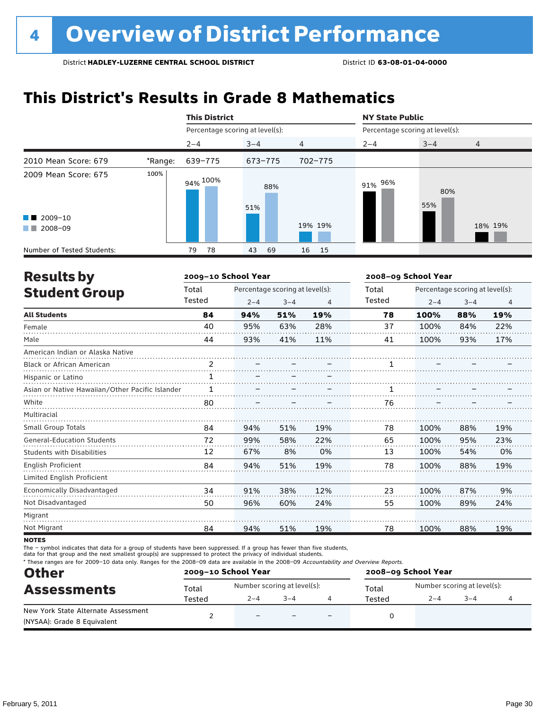### **This District's Results in Grade 8 Mathematics**

|                                                                                                                                                                                                                                                                           |         | <b>This District</b>            |            |                | <b>NY State Public</b>          |            |         |  |
|---------------------------------------------------------------------------------------------------------------------------------------------------------------------------------------------------------------------------------------------------------------------------|---------|---------------------------------|------------|----------------|---------------------------------|------------|---------|--|
|                                                                                                                                                                                                                                                                           |         | Percentage scoring at level(s): |            |                | Percentage scoring at level(s): |            |         |  |
|                                                                                                                                                                                                                                                                           |         | $2 - 4$                         | $3 - 4$    | $\overline{4}$ | $2 - 4$                         | $3 - 4$    | 4       |  |
| 2010 Mean Score: 679                                                                                                                                                                                                                                                      | *Range: | 639-775                         | 673-775    | 702-775        |                                 |            |         |  |
| 2009 Mean Score: 675                                                                                                                                                                                                                                                      | 100%    | 94% <sup>100%</sup>             | 88%<br>51% |                | 91% 96%                         | 80%<br>55% |         |  |
| $\blacksquare$ 2009-10<br>2008-09<br><b>The Contract of the Contract of the Contract of the Contract of the Contract of the Contract of the Contract of the Contract of the Contract of the Contract of the Contract of the Contract of The Contract of The Contract </b> |         |                                 |            | 19% 19%        |                                 |            | 18% 19% |  |
| Number of Tested Students:                                                                                                                                                                                                                                                |         | 78<br>79                        | 69<br>43   | 15<br>16       |                                 |            |         |  |

| <b>Results by</b>                               |               | 2009-10 School Year |                                 |     | 2008-09 School Year |                                 |         |                |  |
|-------------------------------------------------|---------------|---------------------|---------------------------------|-----|---------------------|---------------------------------|---------|----------------|--|
| <b>Student Group</b>                            | Total         |                     | Percentage scoring at level(s): |     | Total               | Percentage scoring at level(s): |         |                |  |
|                                                 | Tested        | $2 - 4$             | $3 - 4$                         | 4   | Tested              | $2 - 4$                         | $3 - 4$ | $\overline{4}$ |  |
| <b>All Students</b>                             | 84            | 94%                 | 51%                             | 19% | 78                  | 100%                            | 88%     | 19%            |  |
| Female                                          | 40            | 95%                 | 63%                             | 28% | 37                  | 100%                            | 84%     | 22%            |  |
| Male                                            | 44            | 93%                 | 41%                             | 11% | 41                  | 100%                            | 93%     | 17%            |  |
| American Indian or Alaska Native                |               |                     |                                 |     |                     |                                 |         |                |  |
| <b>Black or African American</b>                | $\mathcal{P}$ |                     |                                 |     |                     |                                 |         |                |  |
| Hispanic or Latino                              | $\mathbf{1}$  |                     |                                 |     |                     |                                 |         |                |  |
| Asian or Native Hawaiian/Other Pacific Islander |               |                     |                                 |     |                     |                                 |         |                |  |
| White                                           | 80            |                     |                                 |     | 76                  |                                 |         |                |  |
| Multiracial                                     |               |                     |                                 |     |                     |                                 |         |                |  |
| Small Group Totals                              | 84            | 94%                 | 51%                             | 19% | 78                  | 100%                            | 88%     | 19%            |  |
| <b>General-Education Students</b>               | 72            | 99%                 | 58%                             | 22% | 65                  | 100%                            | 95%     | 23%            |  |
| <b>Students with Disabilities</b>               | 12            | 67%                 | 8%                              | 0%  | 13                  | 100%                            | 54%     | 0%             |  |
| <b>English Proficient</b>                       | 84            | 94%                 | 51%                             | 19% | 78                  | 100%                            | 88%     | 19%            |  |
| Limited English Proficient                      |               |                     |                                 |     |                     |                                 |         |                |  |
| Economically Disadvantaged                      | 34            | 91%                 | 38%                             | 12% | 23                  | 100%                            | 87%     | 9%             |  |
| Not Disadvantaged                               | 50            | 96%                 | 60%                             | 24% | 55                  | 100%                            | 89%     | 24%            |  |
| Migrant                                         |               |                     |                                 |     |                     |                                 |         |                |  |
| Not Migrant                                     | 84            | 94%                 | 51%                             | 19% | 78                  | 100%                            | 88%     | 19%            |  |

**NOTES** 

The – symbol indicates that data for a group of students have been suppressed. If a group has fewer than five students,

data for that group and the next smallest group(s) are suppressed to protect the privacy of individual students.

\* These ranges are for 2009–10 data only. Ranges for the 2008–09 data are available in the 2008–09 Accountability and Overview Reports.

| <b>Other</b><br><b>Assessments</b>  | 2009-10 School Year |                          |                             |                          | 2008-09 School Year |                             |         |  |  |
|-------------------------------------|---------------------|--------------------------|-----------------------------|--------------------------|---------------------|-----------------------------|---------|--|--|
|                                     | Total               |                          | Number scoring at level(s): |                          | Total               | Number scoring at level(s): |         |  |  |
|                                     | Tested              | $2 - 4$                  | $3 - 4$                     |                          | Tested              | $2 - 4$                     | $3 - 4$ |  |  |
| New York State Alternate Assessment |                     | $\overline{\phantom{0}}$ |                             | $\overline{\phantom{0}}$ |                     |                             |         |  |  |
| (NYSAA): Grade 8 Equivalent         |                     |                          |                             |                          |                     |                             |         |  |  |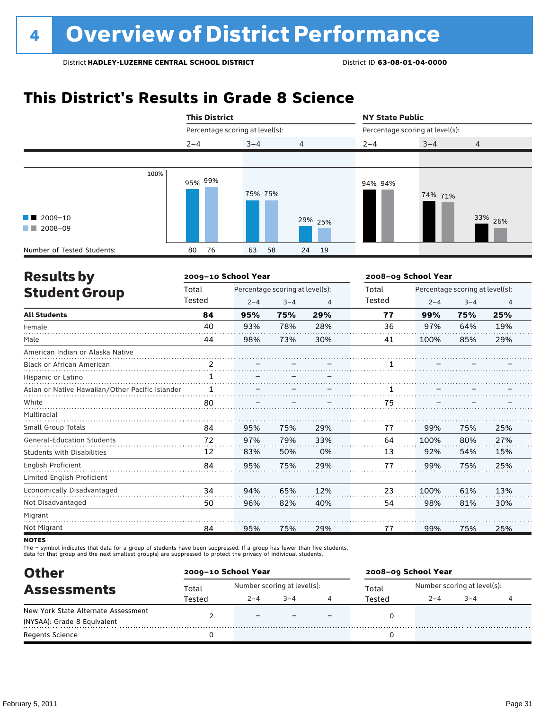### **This District's Results in Grade 8 Science**



| <b>Results by</b>                               |        | 2009-10 School Year             |         |     | 2008-09 School Year |                                 |         |                |  |
|-------------------------------------------------|--------|---------------------------------|---------|-----|---------------------|---------------------------------|---------|----------------|--|
| <b>Student Group</b>                            | Total  | Percentage scoring at level(s): |         |     | Total               | Percentage scoring at level(s): |         |                |  |
|                                                 | Tested | $2 - 4$                         | $3 - 4$ | 4   | Tested              | $2 - 4$                         | $3 - 4$ | $\overline{4}$ |  |
| <b>All Students</b>                             | 84     | 95%                             | 75%     | 29% | 77                  | 99%                             | 75%     | 25%            |  |
| Female                                          | 40     | 93%                             | 78%     | 28% | 36                  | 97%                             | 64%     | 19%            |  |
| Male                                            | 44     | 98%                             | 73%     | 30% | 41                  | 100%                            | 85%     | 29%            |  |
| American Indian or Alaska Native                |        |                                 |         |     |                     |                                 |         |                |  |
| Black or African American                       | 2      |                                 |         |     |                     |                                 |         |                |  |
| Hispanic or Latino                              |        |                                 |         |     |                     |                                 |         |                |  |
| Asian or Native Hawaiian/Other Pacific Islander |        |                                 |         |     |                     |                                 |         |                |  |
| White                                           | 80     |                                 |         |     | 75                  |                                 |         |                |  |
| Multiracial                                     |        |                                 |         |     |                     |                                 |         |                |  |
| Small Group Totals                              | 84     | 95%                             | 75%     | 29% | 77                  | 99%                             | 75%     | 25%            |  |
| <b>General-Education Students</b>               | 72     | 97%                             | 79%     | 33% | 64                  | 100%                            | 80%     | 27%            |  |
| <b>Students with Disabilities</b>               | 12     | 83%                             | 50%     | 0%  | 13                  | 92%                             | 54%     | 15%            |  |
| English Proficient                              | 84     | 95%                             | 75%     | 29% | 77                  | 99%                             | 75%     | 25%            |  |
| Limited English Proficient                      |        |                                 |         |     |                     |                                 |         |                |  |
| Economically Disadvantaged                      | 34     | 94%                             | 65%     | 12% | 23                  | 100%                            | 61%     | 13%            |  |
| Not Disadvantaged                               | 50     | 96%                             | 82%     | 40% | 54                  | 98%                             | 81%     | 30%            |  |
| Migrant                                         |        |                                 |         |     |                     |                                 |         |                |  |
| Not Migrant                                     | 84     | 95%                             | 75%     | 29% | 77                  | 99%                             | 75%     | 25%            |  |
|                                                 |        |                                 |         |     |                     |                                 |         |                |  |

**NOTES** 

The – symbol indicates that data for a group of students have been suppressed. If a group has fewer than five students,

data for that group and the next smallest group(s) are suppressed to protect the privacy of individual students.

| <b>Other</b>                        | 2009-10 School Year |                             |        |  | 2008-09 School Year |                             |        |  |  |
|-------------------------------------|---------------------|-----------------------------|--------|--|---------------------|-----------------------------|--------|--|--|
| <b>Assessments</b>                  | Total               | Number scoring at level(s): |        |  | Total               | Number scoring at level(s): |        |  |  |
|                                     | Tested              | $2 - 4$                     | $-3-4$ |  | Tested              | $2 - 4$                     | $-3-4$ |  |  |
| New York State Alternate Assessment |                     |                             |        |  |                     |                             |        |  |  |
| (NYSAA): Grade 8 Equivalent         |                     |                             |        |  |                     |                             |        |  |  |
| <b>Regents Science</b>              |                     |                             |        |  |                     |                             |        |  |  |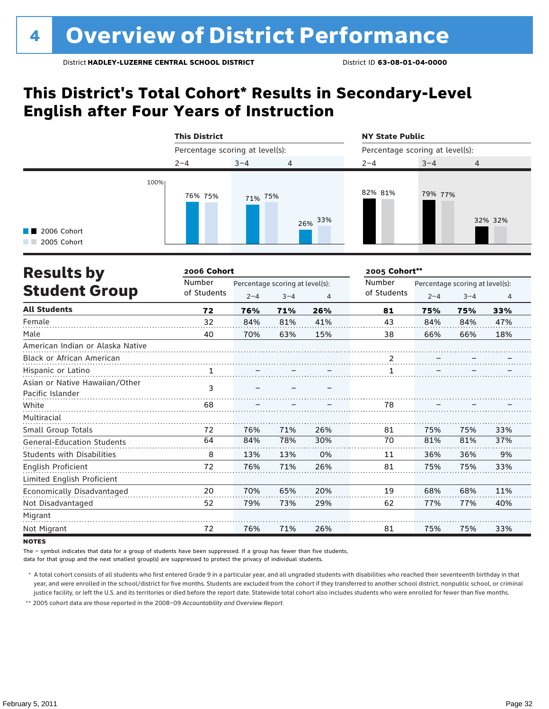### **This District's Total Cohort\* Results in Secondary-Level English after Four Years of Instruction**

|                                                   | <b>This District</b>            |         |            | <b>NY State Public</b>          |         |         |  |  |
|---------------------------------------------------|---------------------------------|---------|------------|---------------------------------|---------|---------|--|--|
|                                                   | Percentage scoring at level(s): |         |            | Percentage scoring at level(s): |         |         |  |  |
|                                                   | $2 - 4$                         | $3 - 4$ | 4          | $2 - 4$                         | $3 - 4$ | 4       |  |  |
| 100%<br>$\blacksquare$ 2006 Cohort<br>2005 Cohort | 76% 75%                         | 71% 75% | 33%<br>26% | 82% 81%                         | 79% 77% | 32% 32% |  |  |

| <b>Results by</b>                 | 2006 Cohort |         |                                 |                | 2005 Cohort**  |                                 |         |                |  |
|-----------------------------------|-------------|---------|---------------------------------|----------------|----------------|---------------------------------|---------|----------------|--|
|                                   | Number      |         | Percentage scoring at level(s): |                | Number         | Percentage scoring at level(s): |         |                |  |
| <b>Student Group</b>              | of Students | $2 - 4$ | $3 - 4$                         | $\overline{4}$ | of Students    | $2 - 4$                         | $3 - 4$ | $\overline{4}$ |  |
| <b>All Students</b>               | 72          | 76%     | 71%                             | 26%            | 81             | 75%                             | 75%     | 33%            |  |
| Female                            | 32          | 84%     | 81%                             | 41%            | 43             | 84%                             | 84%     | 47%            |  |
| Male                              | 40          | 70%     | 63%                             | 15%            | 38             | 66%                             | 66%     | 18%            |  |
| American Indian or Alaska Native  |             |         |                                 |                |                |                                 |         |                |  |
| <b>Black or African American</b>  |             |         |                                 |                | $\overline{2}$ |                                 |         |                |  |
| Hispanic or Latino                |             |         |                                 |                |                |                                 |         |                |  |
| Asian or Native Hawaiian/Other    |             |         |                                 |                |                |                                 |         |                |  |
| Pacific Islander                  | 3           |         |                                 |                |                |                                 |         |                |  |
| White                             | 68          |         |                                 |                | 78             |                                 |         |                |  |
| Multiracial                       |             |         |                                 |                |                |                                 |         |                |  |
| Small Group Totals                | 72          | 76%     | 71%                             | 26%            | 81             | 75%                             | 75%     | 33%            |  |
| <b>General-Education Students</b> | 64          | 84%     | 78%                             | 30%            | 70             | 81%                             | 81%     | 37%            |  |
| <b>Students with Disabilities</b> | 8           | 13%     | 13%                             | 0%             | 11             | 36%                             | 36%     | 9%             |  |
| English Proficient                | 72          | 76%     | 71%                             | 26%            | 81             | 75%                             | 75%     | 33%            |  |
| Limited English Proficient        |             |         |                                 |                |                |                                 |         |                |  |
| Economically Disadvantaged        | 20          | 70%     | 65%                             | 20%            | 19             | 68%                             | 68%     | 11%            |  |
| Not Disadvantaged                 | 52          | 79%     | 73%                             | 29%            | 62             | 77%                             | 77%     | 40%            |  |
| Migrant                           |             |         |                                 |                |                |                                 |         |                |  |
| Not Migrant                       | 72          | 76%     | 71%                             | 26%            | 81             | 75%                             | 75%     | 33%            |  |

**NOTES** 

The – symbol indicates that data for a group of students have been suppressed. If a group has fewer than five students,

data for that group and the next smallest group(s) are suppressed to protect the privacy of individual students.

 \* A total cohort consists of all students who first entered Grade 9 in a particular year, and all ungraded students with disabilities who reached their seventeenth birthday in that year, and were enrolled in the school/district for five months. Students are excluded from the cohort if they transferred to another school district, nonpublic school, or criminal justice facility, or left the U.S. and its territories or died before the report date. Statewide total cohort also includes students who were enrolled for fewer than five months.

 \*\* 2005 cohort data are those reported in the 2008–09 *Accountability and Overview Report*.